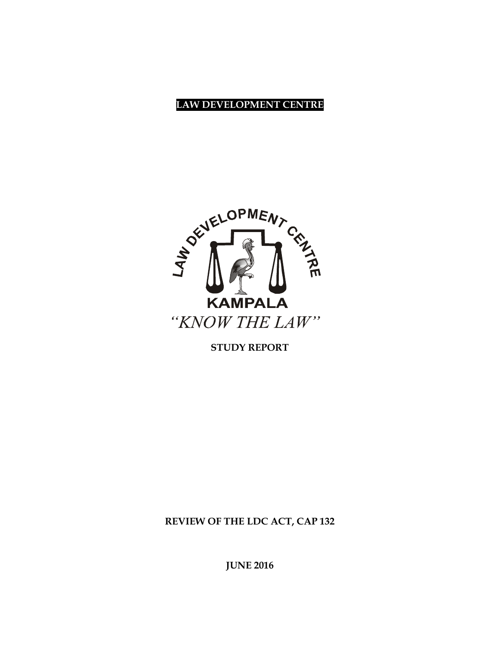## **LAW DEVELOPMENT CENTRE**



**STUDY REPORT**

**REVIEW OF THE LDC ACT, CAP 132**

**JUNE 2016**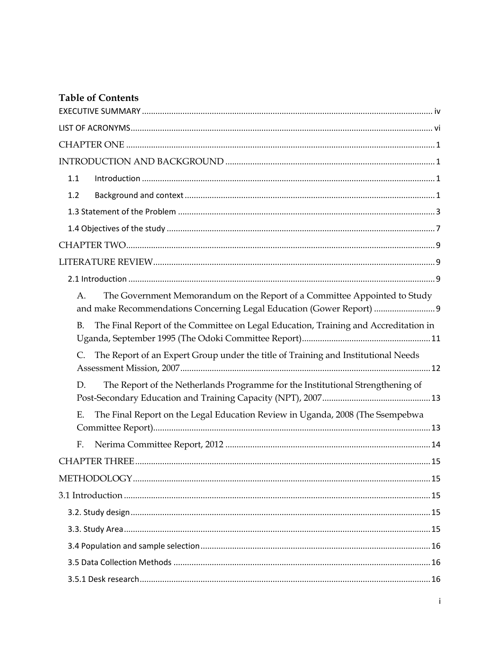# **Table of Contents**

| 1.1       |                                                                                                                                                    |  |
|-----------|----------------------------------------------------------------------------------------------------------------------------------------------------|--|
| 1.2       |                                                                                                                                                    |  |
|           |                                                                                                                                                    |  |
|           |                                                                                                                                                    |  |
|           |                                                                                                                                                    |  |
|           |                                                                                                                                                    |  |
|           |                                                                                                                                                    |  |
| A.        | The Government Memorandum on the Report of a Committee Appointed to Study<br>and make Recommendations Concerning Legal Education (Gower Report)  9 |  |
| <b>B.</b> | The Final Report of the Committee on Legal Education, Training and Accreditation in                                                                |  |
| C.        | The Report of an Expert Group under the title of Training and Institutional Needs                                                                  |  |
| D.        | The Report of the Netherlands Programme for the Institutional Strengthening of                                                                     |  |
| Ε.        | The Final Report on the Legal Education Review in Uganda, 2008 (The Ssempebwa                                                                      |  |
| F.        |                                                                                                                                                    |  |
|           |                                                                                                                                                    |  |
|           |                                                                                                                                                    |  |
|           |                                                                                                                                                    |  |
|           |                                                                                                                                                    |  |
|           |                                                                                                                                                    |  |
|           |                                                                                                                                                    |  |
|           |                                                                                                                                                    |  |
|           |                                                                                                                                                    |  |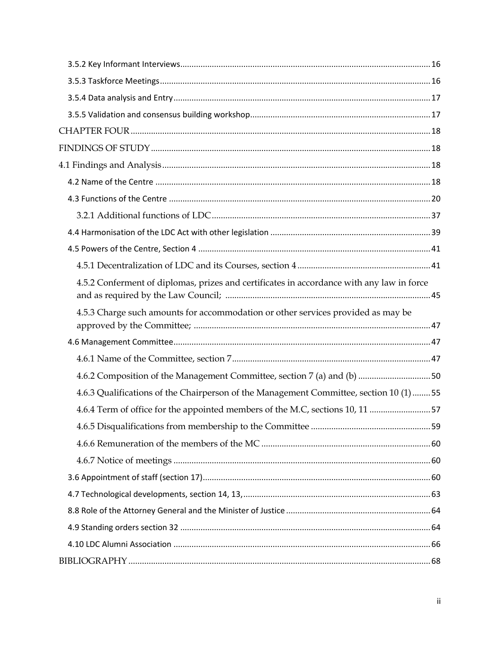| 4.5.2 Conferment of diplomas, prizes and certificates in accordance with any law in force |  |
|-------------------------------------------------------------------------------------------|--|
| 4.5.3 Charge such amounts for accommodation or other services provided as may be          |  |
|                                                                                           |  |
|                                                                                           |  |
| 4.6.2 Composition of the Management Committee, section 7 (a) and (b)  50                  |  |
| 4.6.3 Qualifications of the Chairperson of the Management Committee, section 10 (1)  55   |  |
| 4.6.4 Term of office for the appointed members of the M.C, sections 10, 11 57             |  |
|                                                                                           |  |
|                                                                                           |  |
|                                                                                           |  |
|                                                                                           |  |
|                                                                                           |  |
|                                                                                           |  |
|                                                                                           |  |
|                                                                                           |  |
|                                                                                           |  |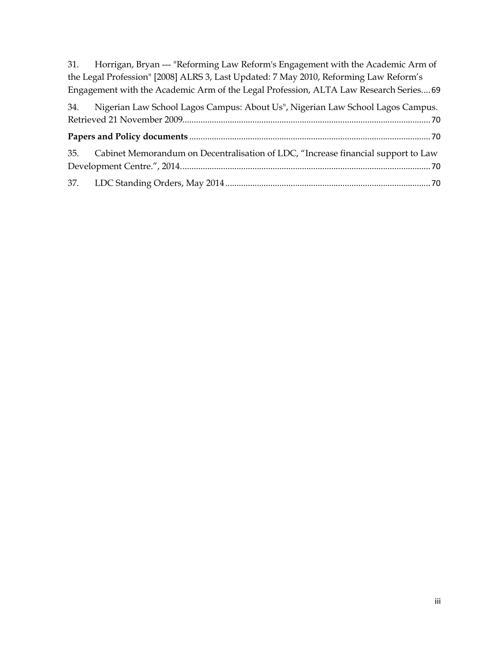31. Horrigan, Bryan --- ["Reforming Law Reform's Engagement with the Academic Arm of](#page-76-0)  [the Legal Profession" \[2008\] ALRS 3,](#page-76-0) Last Updated: 7 May 2010, Reforming Law Reform's [Engagement with the Academic Arm of the Legal Profession, ALTA Law Research Series.](#page-76-0)...69

| 34. Nigerian Law School Lagos Campus: About Us", Nigerian Law School Lagos Campus.    |  |
|---------------------------------------------------------------------------------------|--|
|                                                                                       |  |
|                                                                                       |  |
| 35. Cabinet Memorandum on Decentralisation of LDC, "Increase financial support to Law |  |
|                                                                                       |  |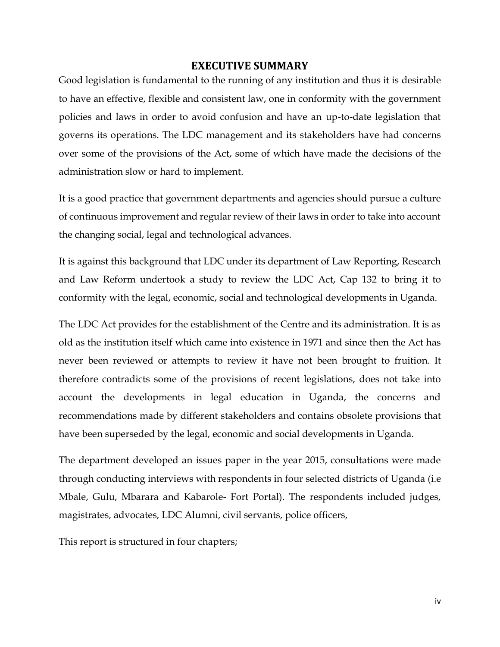### **EXECUTIVE SUMMARY**

<span id="page-4-0"></span>Good legislation is fundamental to the running of any institution and thus it is desirable to have an effective, flexible and consistent law, one in conformity with the government policies and laws in order to avoid confusion and have an up-to-date legislation that governs its operations. The LDC management and its stakeholders have had concerns over some of the provisions of the Act, some of which have made the decisions of the administration slow or hard to implement.

It is a good practice that government departments and agencies should pursue a culture of continuous improvement and regular review of their laws in order to take into account the changing social, legal and technological advances.

It is against this background that LDC under its department of Law Reporting, Research and Law Reform undertook a study to review the LDC Act, Cap 132 to bring it to conformity with the legal, economic, social and technological developments in Uganda.

The LDC Act provides for the establishment of the Centre and its administration. It is as old as the institution itself which came into existence in 1971 and since then the Act has never been reviewed or attempts to review it have not been brought to fruition. It therefore contradicts some of the provisions of recent legislations, does not take into account the developments in legal education in Uganda, the concerns and recommendations made by different stakeholders and contains obsolete provisions that have been superseded by the legal, economic and social developments in Uganda.

The department developed an issues paper in the year 2015, consultations were made through conducting interviews with respondents in four selected districts of Uganda (i.e Mbale, Gulu, Mbarara and Kabarole- Fort Portal). The respondents included judges, magistrates, advocates, LDC Alumni, civil servants, police officers,

This report is structured in four chapters;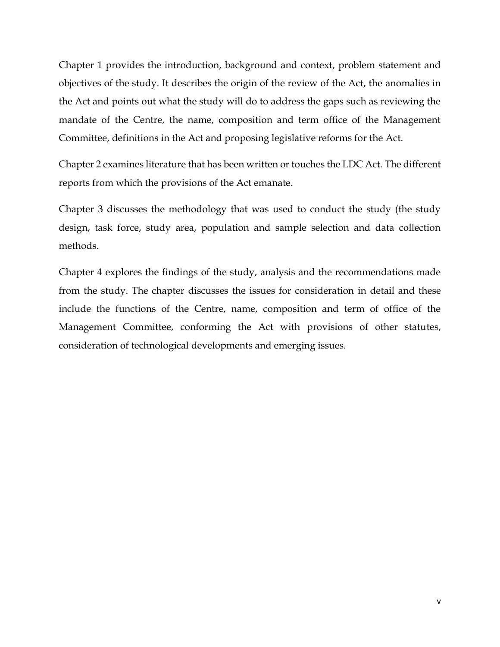Chapter 1 provides the introduction, background and context, problem statement and objectives of the study. It describes the origin of the review of the Act, the anomalies in the Act and points out what the study will do to address the gaps such as reviewing the mandate of the Centre, the name, composition and term office of the Management Committee, definitions in the Act and proposing legislative reforms for the Act.

Chapter 2 examines literature that has been written or touches the LDC Act. The different reports from which the provisions of the Act emanate.

Chapter 3 discusses the methodology that was used to conduct the study (the study design, task force, study area, population and sample selection and data collection methods.

Chapter 4 explores the findings of the study, analysis and the recommendations made from the study. The chapter discusses the issues for consideration in detail and these include the functions of the Centre, name, composition and term of office of the Management Committee, conforming the Act with provisions of other statutes, consideration of technological developments and emerging issues.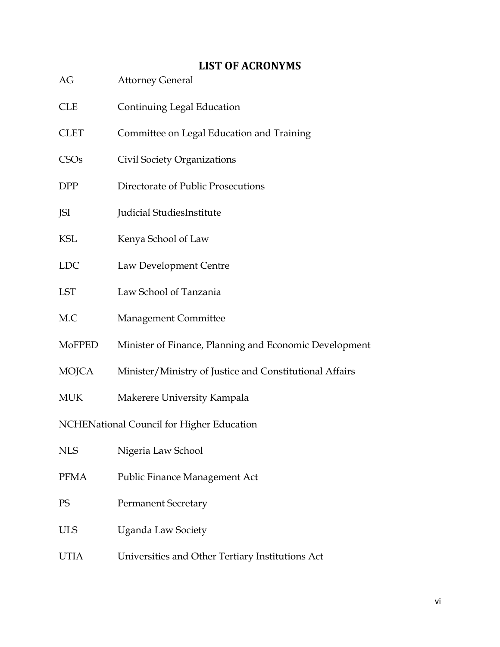# **LIST OF ACRONYMS**

- <span id="page-6-0"></span>AG Attorney General
- CLE Continuing Legal Education
- CLET Committee on Legal Education and Training
- CSOs Civil Society Organizations
- DPP Directorate of Public Prosecutions
- JSI Judicial StudiesInstitute
- KSL Kenya School of Law
- LDC Law Development Centre
- LST Law School of Tanzania
- M.C Management Committee
- MoFPED Minister of Finance, Planning and Economic Development
- MOJCA Minister/Ministry of Justice and Constitutional Affairs
- MUK Makerere University Kampala

NCHENational Council for Higher Education

| <b>NLS</b>  | Nigeria Law School                               |
|-------------|--------------------------------------------------|
| <b>PFMA</b> | Public Finance Management Act                    |
| PS          | <b>Permanent Secretary</b>                       |
| <b>ULS</b>  | Uganda Law Society                               |
| UTIA        | Universities and Other Tertiary Institutions Act |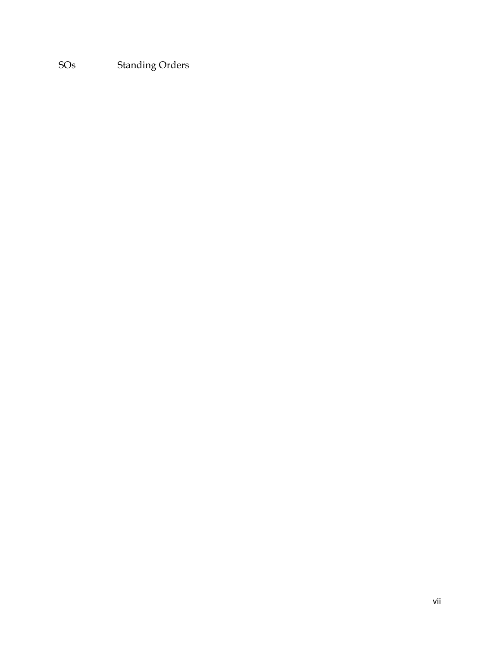SOs Standing Orders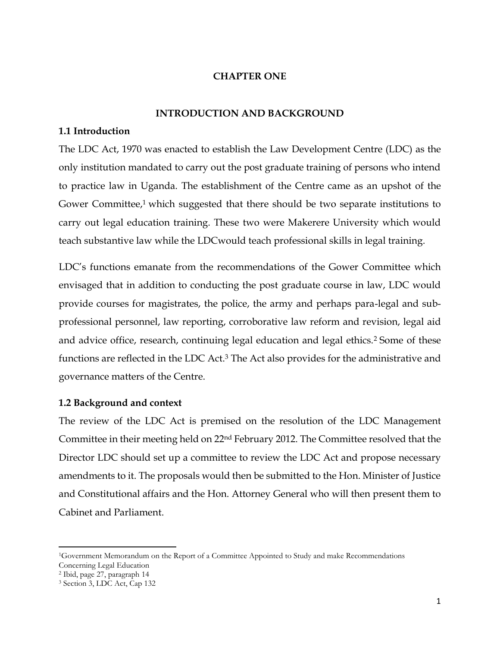### **CHAPTER ONE**

#### **INTRODUCTION AND BACKGROUND**

#### <span id="page-8-2"></span><span id="page-8-1"></span><span id="page-8-0"></span>**1.1 Introduction**

The LDC Act, 1970 was enacted to establish the Law Development Centre (LDC) as the only institution mandated to carry out the post graduate training of persons who intend to practice law in Uganda. The establishment of the Centre came as an upshot of the Gower Committee, $1$  which suggested that there should be two separate institutions to carry out legal education training. These two were Makerere University which would teach substantive law while the LDCwould teach professional skills in legal training.

LDC's functions emanate from the recommendations of the Gower Committee which envisaged that in addition to conducting the post graduate course in law, LDC would provide courses for magistrates, the police, the army and perhaps para-legal and subprofessional personnel, law reporting, corroborative law reform and revision, legal aid and advice office, research, continuing legal education and legal ethics.<sup>2</sup> Some of these functions are reflected in the LDC Act.<sup>3</sup> The Act also provides for the administrative and governance matters of the Centre.

### <span id="page-8-3"></span>**1.2 Background and context**

The review of the LDC Act is premised on the resolution of the LDC Management Committee in their meeting held on 22nd February 2012. The Committee resolved that the Director LDC should set up a committee to review the LDC Act and propose necessary amendments to it. The proposals would then be submitted to the Hon. Minister of Justice and Constitutional affairs and the Hon. Attorney General who will then present them to Cabinet and Parliament.

l

<sup>1</sup>Government Memorandum on the Report of a Committee Appointed to Study and make Recommendations Concerning Legal Education

<sup>2</sup> Ibid, page 27, paragraph 14 <sup>3</sup> Section 3, LDC Act, Cap 132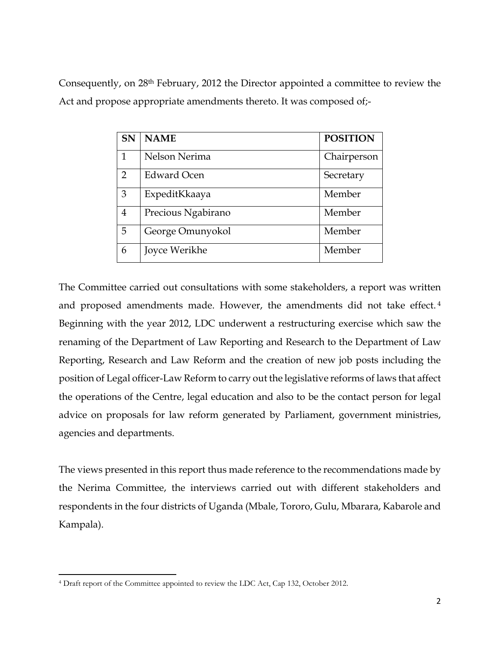Consequently, on 28th February, 2012 the Director appointed a committee to review the Act and propose appropriate amendments thereto. It was composed of;-

| <b>SN</b>      | <b>NAME</b>        | <b>POSITION</b> |
|----------------|--------------------|-----------------|
| 1              | Nelson Nerima      | Chairperson     |
| $\overline{2}$ | Edward Ocen        | Secretary       |
| 3              | ExpeditKkaaya      | Member          |
| 4              | Precious Ngabirano | Member          |
| 5              | George Omunyokol   | Member          |
| 6              | Joyce Werikhe      | Member          |

The Committee carried out consultations with some stakeholders, a report was written and proposed amendments made. However, the amendments did not take effect. <sup>4</sup> Beginning with the year 2012, LDC underwent a restructuring exercise which saw the renaming of the Department of Law Reporting and Research to the Department of Law Reporting, Research and Law Reform and the creation of new job posts including the position of Legal officer-Law Reform to carry out the legislative reforms of laws that affect the operations of the Centre, legal education and also to be the contact person for legal advice on proposals for law reform generated by Parliament, government ministries, agencies and departments.

The views presented in this report thus made reference to the recommendations made by the Nerima Committee, the interviews carried out with different stakeholders and respondents in the four districts of Uganda (Mbale, Tororo, Gulu, Mbarara, Kabarole and Kampala).

 $\overline{a}$ <sup>4</sup> Draft report of the Committee appointed to review the LDC Act, Cap 132, October 2012.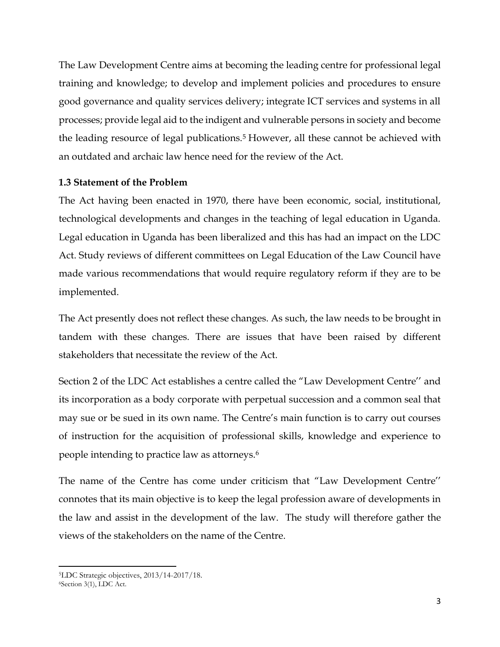The Law Development Centre aims at becoming the leading centre for professional legal training and knowledge; to develop and implement policies and procedures to ensure good governance and quality services delivery; integrate ICT services and systems in all processes; provide legal aid to the indigent and vulnerable persons in society and become the leading resource of legal publications.<sup>5</sup> However, all these cannot be achieved with an outdated and archaic law hence need for the review of the Act.

### <span id="page-10-0"></span>**1.3 Statement of the Problem**

The Act having been enacted in 1970, there have been economic, social, institutional, technological developments and changes in the teaching of legal education in Uganda. Legal education in Uganda has been liberalized and this has had an impact on the LDC Act. Study reviews of different committees on Legal Education of the Law Council have made various recommendations that would require regulatory reform if they are to be implemented.

The Act presently does not reflect these changes. As such, the law needs to be brought in tandem with these changes. There are issues that have been raised by different stakeholders that necessitate the review of the Act.

Section 2 of the LDC Act establishes a centre called the "Law Development Centre'' and its incorporation as a body corporate with perpetual succession and a common seal that may sue or be sued in its own name. The Centre's main function is to carry out courses of instruction for the acquisition of professional skills, knowledge and experience to people intending to practice law as attorneys.<sup>6</sup>

The name of the Centre has come under criticism that "Law Development Centre'' connotes that its main objective is to keep the legal profession aware of developments in the law and assist in the development of the law. The study will therefore gather the views of the stakeholders on the name of the Centre.

l <sup>5</sup>LDC Strategic objectives, 2013/14-2017/18.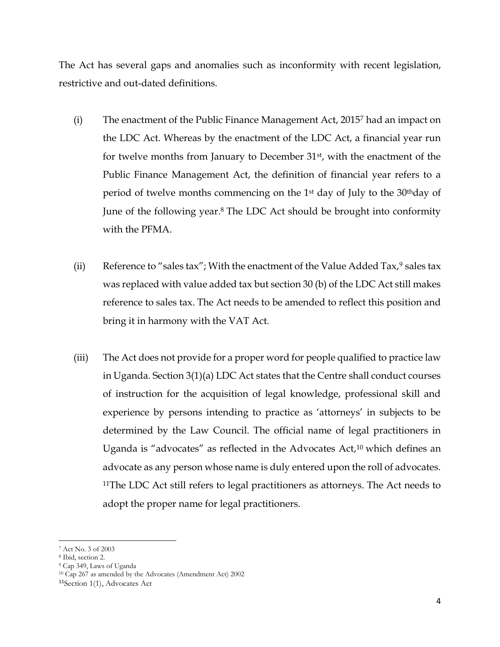The Act has several gaps and anomalies such as inconformity with recent legislation, restrictive and out-dated definitions.

- (i) The enactment of the Public Finance Management Act, 2015<sup>7</sup> had an impact on the LDC Act. Whereas by the enactment of the LDC Act, a financial year run for twelve months from January to December 31<sup>st</sup>, with the enactment of the Public Finance Management Act, the definition of financial year refers to a period of twelve months commencing on the 1<sup>st</sup> day of July to the 30<sup>th</sup>day of June of the following year. <sup>8</sup> The LDC Act should be brought into conformity with the PFMA.
- (ii) Reference to "sales tax"; With the enactment of the Value Added Tax, $9$  sales tax was replaced with value added tax but section 30 (b) of the LDC Act still makes reference to sales tax. The Act needs to be amended to reflect this position and bring it in harmony with the VAT Act.
- (iii) The Act does not provide for a proper word for people qualified to practice law in Uganda. Section 3(1)(a) LDC Act states that the Centre shall conduct courses of instruction for the acquisition of legal knowledge, professional skill and experience by persons intending to practice as 'attorneys' in subjects to be determined by the Law Council. The official name of legal practitioners in Uganda is "advocates" as reflected in the Advocates Act,<sup>10</sup> which defines an advocate as any person whose name is duly entered upon the roll of advocates. <sup>11</sup>The LDC Act still refers to legal practitioners as attorneys. The Act needs to adopt the proper name for legal practitioners.

 $\overline{\phantom{a}}$ 

<sup>7</sup> Act No. 3 of 2003

<sup>8</sup> Ibid, section 2.

<sup>9</sup> Cap 349, Laws of Uganda

<sup>10</sup> Cap 267 as amended by the Advocates (Amendment Act) 2002

<sup>11</sup>Section 1(1), Advocates Act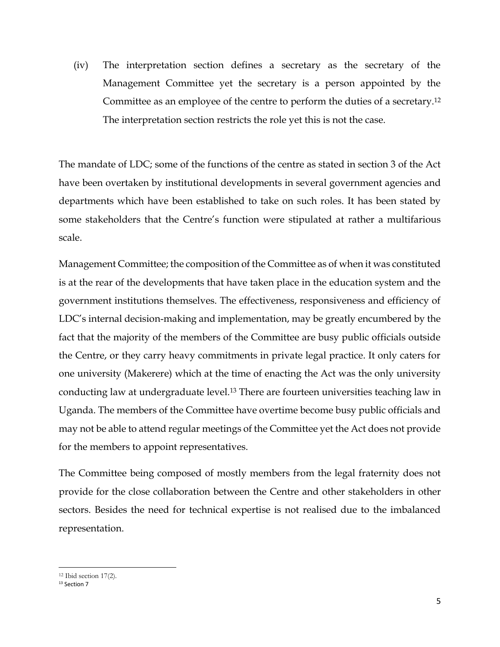(iv) The interpretation section defines a secretary as the secretary of the Management Committee yet the secretary is a person appointed by the Committee as an employee of the centre to perform the duties of a secretary.<sup>12</sup> The interpretation section restricts the role yet this is not the case.

The mandate of LDC; some of the functions of the centre as stated in section 3 of the Act have been overtaken by institutional developments in several government agencies and departments which have been established to take on such roles. It has been stated by some stakeholders that the Centre's function were stipulated at rather a multifarious scale.

Management Committee; the composition of the Committee as of when it was constituted is at the rear of the developments that have taken place in the education system and the government institutions themselves. The effectiveness, responsiveness and efficiency of LDC's internal decision-making and implementation, may be greatly encumbered by the fact that the majority of the members of the Committee are busy public officials outside the Centre, or they carry heavy commitments in private legal practice. It only caters for one university (Makerere) which at the time of enacting the Act was the only university conducting law at undergraduate level.<sup>13</sup> There are fourteen universities teaching law in Uganda. The members of the Committee have overtime become busy public officials and may not be able to attend regular meetings of the Committee yet the Act does not provide for the members to appoint representatives.

The Committee being composed of mostly members from the legal fraternity does not provide for the close collaboration between the Centre and other stakeholders in other sectors. Besides the need for technical expertise is not realised due to the imbalanced representation.

 $\overline{a}$ 

<sup>12</sup> Ibid section 17(2).

<sup>&</sup>lt;sup>13</sup> Section 7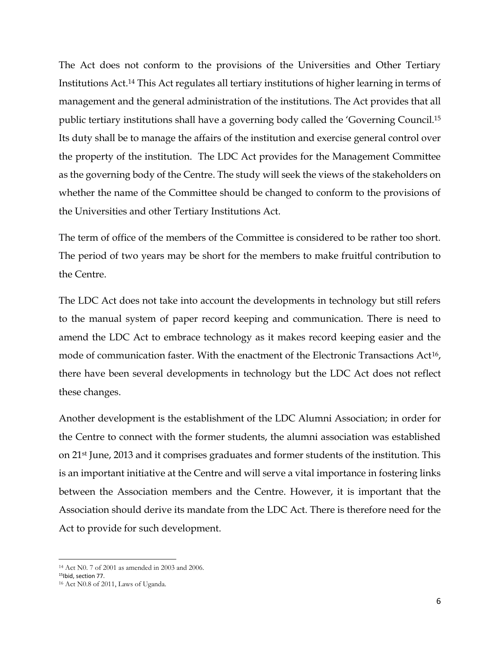The Act does not conform to the provisions of the Universities and Other Tertiary Institutions Act.<sup>14</sup> This Act regulates all tertiary institutions of higher learning in terms of management and the general administration of the institutions. The Act provides that all public tertiary institutions shall have a governing body called the 'Governing Council.<sup>15</sup> Its duty shall be to manage the affairs of the institution and exercise general control over the property of the institution. The LDC Act provides for the Management Committee as the governing body of the Centre. The study will seek the views of the stakeholders on whether the name of the Committee should be changed to conform to the provisions of the Universities and other Tertiary Institutions Act.

The term of office of the members of the Committee is considered to be rather too short. The period of two years may be short for the members to make fruitful contribution to the Centre.

The LDC Act does not take into account the developments in technology but still refers to the manual system of paper record keeping and communication. There is need to amend the LDC Act to embrace technology as it makes record keeping easier and the mode of communication faster. With the enactment of the Electronic Transactions Act16, there have been several developments in technology but the LDC Act does not reflect these changes.

Another development is the establishment of the LDC Alumni Association; in order for the Centre to connect with the former students, the alumni association was established on 21st June, 2013 and it comprises graduates and former students of the institution. This is an important initiative at the Centre and will serve a vital importance in fostering links between the Association members and the Centre. However, it is important that the Association should derive its mandate from the LDC Act. There is therefore need for the Act to provide for such development.

l

<sup>14</sup> Act N0. 7 of 2001 as amended in 2003 and 2006.

<sup>&</sup>lt;sup>15</sup>Ibid, section 77.

<sup>16</sup> Act N0.8 of 2011, Laws of Uganda.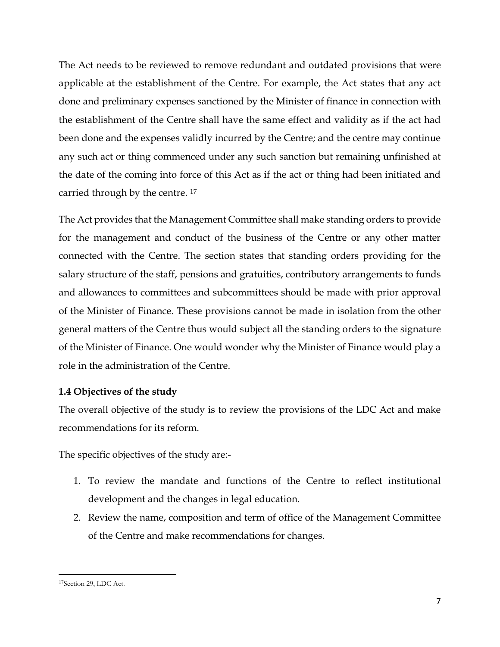The Act needs to be reviewed to remove redundant and outdated provisions that were applicable at the establishment of the Centre. For example, the Act states that any act done and preliminary expenses sanctioned by the Minister of finance in connection with the establishment of the Centre shall have the same effect and validity as if the act had been done and the expenses validly incurred by the Centre; and the centre may continue any such act or thing commenced under any such sanction but remaining unfinished at the date of the coming into force of this Act as if the act or thing had been initiated and carried through by the centre. <sup>17</sup>

The Act provides that the Management Committee shall make standing orders to provide for the management and conduct of the business of the Centre or any other matter connected with the Centre. The section states that standing orders providing for the salary structure of the staff, pensions and gratuities, contributory arrangements to funds and allowances to committees and subcommittees should be made with prior approval of the Minister of Finance. These provisions cannot be made in isolation from the other general matters of the Centre thus would subject all the standing orders to the signature of the Minister of Finance. One would wonder why the Minister of Finance would play a role in the administration of the Centre.

### <span id="page-14-0"></span>**1.4 Objectives of the study**

The overall objective of the study is to review the provisions of the LDC Act and make recommendations for its reform.

The specific objectives of the study are:-

- 1. To review the mandate and functions of the Centre to reflect institutional development and the changes in legal education.
- 2. Review the name, composition and term of office of the Management Committee of the Centre and make recommendations for changes.

 $\overline{a}$ 17Section 29, LDC Act.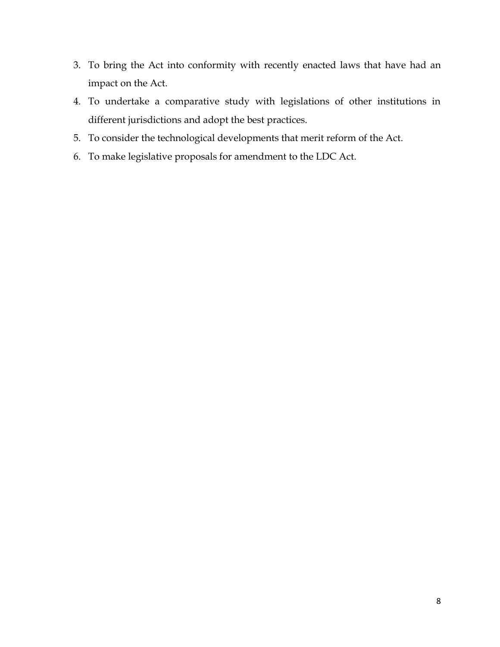- 3. To bring the Act into conformity with recently enacted laws that have had an impact on the Act.
- 4. To undertake a comparative study with legislations of other institutions in different jurisdictions and adopt the best practices.
- 5. To consider the technological developments that merit reform of the Act.
- 6. To make legislative proposals for amendment to the LDC Act.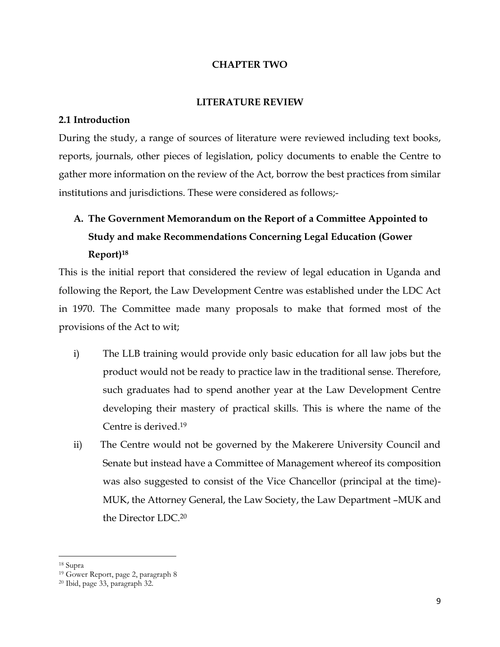#### **CHAPTER TWO**

#### **LITERATURE REVIEW**

#### <span id="page-16-2"></span><span id="page-16-1"></span><span id="page-16-0"></span>**2.1 Introduction**

During the study, a range of sources of literature were reviewed including text books, reports, journals, other pieces of legislation, policy documents to enable the Centre to gather more information on the review of the Act, borrow the best practices from similar institutions and jurisdictions. These were considered as follows;-

# <span id="page-16-3"></span>**A. The Government Memorandum on the Report of a Committee Appointed to Study and make Recommendations Concerning Legal Education (Gower Report)<sup>18</sup>**

This is the initial report that considered the review of legal education in Uganda and following the Report, the Law Development Centre was established under the LDC Act in 1970. The Committee made many proposals to make that formed most of the provisions of the Act to wit;

- i) The LLB training would provide only basic education for all law jobs but the product would not be ready to practice law in the traditional sense. Therefore, such graduates had to spend another year at the Law Development Centre developing their mastery of practical skills. This is where the name of the Centre is derived.<sup>19</sup>
- ii) The Centre would not be governed by the Makerere University Council and Senate but instead have a Committee of Management whereof its composition was also suggested to consist of the Vice Chancellor (principal at the time)- MUK, the Attorney General, the Law Society, the Law Department –MUK and the Director LDC.<sup>20</sup>

l

<sup>18</sup> Supra

<sup>19</sup> Gower Report, page 2, paragraph 8

<sup>20</sup> Ibid, page 33, paragraph 32.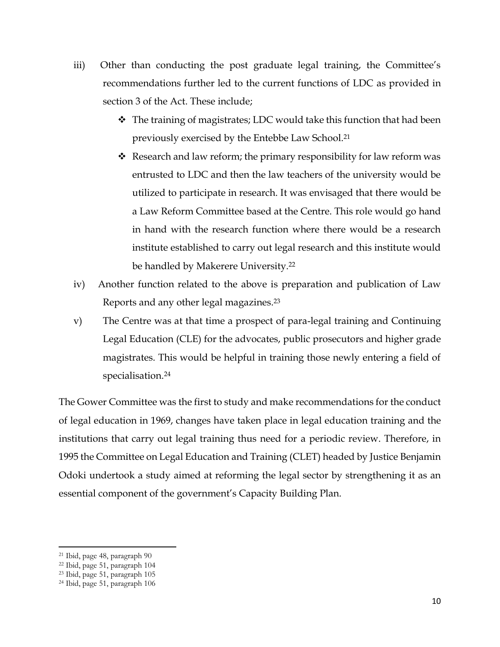- iii) Other than conducting the post graduate legal training, the Committee's recommendations further led to the current functions of LDC as provided in section 3 of the Act. These include;
	- $\cdot$  The training of magistrates; LDC would take this function that had been previously exercised by the Entebbe Law School.<sup>21</sup>
	- $\triangleleft$  Research and law reform; the primary responsibility for law reform was entrusted to LDC and then the law teachers of the university would be utilized to participate in research. It was envisaged that there would be a Law Reform Committee based at the Centre. This role would go hand in hand with the research function where there would be a research institute established to carry out legal research and this institute would be handled by Makerere University.<sup>22</sup>
- iv) Another function related to the above is preparation and publication of Law Reports and any other legal magazines. 23
- v) The Centre was at that time a prospect of para-legal training and Continuing Legal Education (CLE) for the advocates, public prosecutors and higher grade magistrates. This would be helpful in training those newly entering a field of specialisation. 24

The Gower Committee was the first to study and make recommendations for the conduct of legal education in 1969, changes have taken place in legal education training and the institutions that carry out legal training thus need for a periodic review. Therefore, in 1995 the Committee on Legal Education and Training (CLET) headed by Justice Benjamin Odoki undertook a study aimed at reforming the legal sector by strengthening it as an essential component of the government's Capacity Building Plan.

l

<sup>21</sup> Ibid, page 48, paragraph 90

<sup>22</sup> Ibid, page 51, paragraph 104

<sup>23</sup> Ibid, page 51, paragraph 105

<sup>24</sup> Ibid, page 51, paragraph 106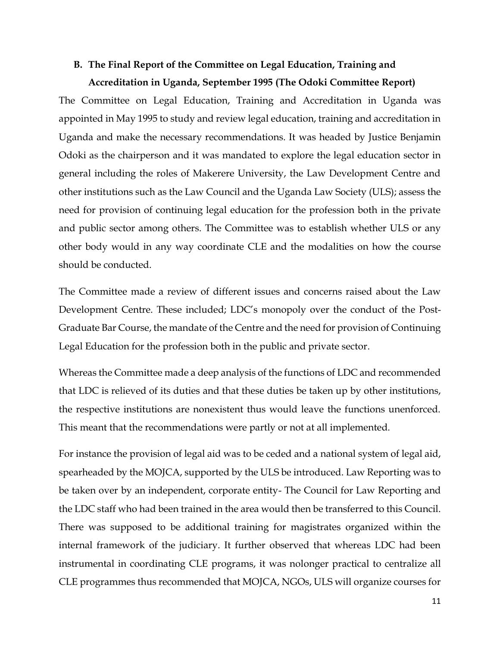# <span id="page-18-0"></span>**B. The Final Report of the Committee on Legal Education, Training and Accreditation in Uganda, September 1995 (The Odoki Committee Report)**

The Committee on Legal Education, Training and Accreditation in Uganda was appointed in May 1995 to study and review legal education, training and accreditation in Uganda and make the necessary recommendations. It was headed by Justice Benjamin Odoki as the chairperson and it was mandated to explore the legal education sector in general including the roles of Makerere University, the Law Development Centre and other institutions such as the Law Council and the Uganda Law Society (ULS); assess the need for provision of continuing legal education for the profession both in the private and public sector among others. The Committee was to establish whether ULS or any other body would in any way coordinate CLE and the modalities on how the course should be conducted.

The Committee made a review of different issues and concerns raised about the Law Development Centre. These included; LDC's monopoly over the conduct of the Post-Graduate Bar Course, the mandate of the Centre and the need for provision of Continuing Legal Education for the profession both in the public and private sector.

Whereas the Committee made a deep analysis of the functions of LDC and recommended that LDC is relieved of its duties and that these duties be taken up by other institutions, the respective institutions are nonexistent thus would leave the functions unenforced. This meant that the recommendations were partly or not at all implemented.

For instance the provision of legal aid was to be ceded and a national system of legal aid, spearheaded by the MOJCA, supported by the ULS be introduced. Law Reporting was to be taken over by an independent, corporate entity- The Council for Law Reporting and the LDC staff who had been trained in the area would then be transferred to this Council. There was supposed to be additional training for magistrates organized within the internal framework of the judiciary. It further observed that whereas LDC had been instrumental in coordinating CLE programs, it was nolonger practical to centralize all CLE programmes thus recommended that MOJCA, NGOs, ULS will organize courses for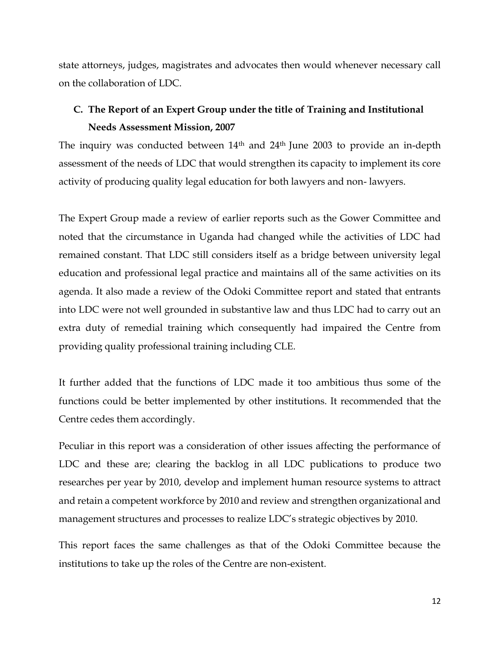state attorneys, judges, magistrates and advocates then would whenever necessary call on the collaboration of LDC.

# <span id="page-19-0"></span>**C. The Report of an Expert Group under the title of Training and Institutional Needs Assessment Mission, 2007**

The inquiry was conducted between 14<sup>th</sup> and 24<sup>th</sup> June 2003 to provide an in-depth assessment of the needs of LDC that would strengthen its capacity to implement its core activity of producing quality legal education for both lawyers and non- lawyers.

The Expert Group made a review of earlier reports such as the Gower Committee and noted that the circumstance in Uganda had changed while the activities of LDC had remained constant. That LDC still considers itself as a bridge between university legal education and professional legal practice and maintains all of the same activities on its agenda. It also made a review of the Odoki Committee report and stated that entrants into LDC were not well grounded in substantive law and thus LDC had to carry out an extra duty of remedial training which consequently had impaired the Centre from providing quality professional training including CLE.

It further added that the functions of LDC made it too ambitious thus some of the functions could be better implemented by other institutions. It recommended that the Centre cedes them accordingly.

Peculiar in this report was a consideration of other issues affecting the performance of LDC and these are; clearing the backlog in all LDC publications to produce two researches per year by 2010, develop and implement human resource systems to attract and retain a competent workforce by 2010 and review and strengthen organizational and management structures and processes to realize LDC's strategic objectives by 2010.

This report faces the same challenges as that of the Odoki Committee because the institutions to take up the roles of the Centre are non-existent.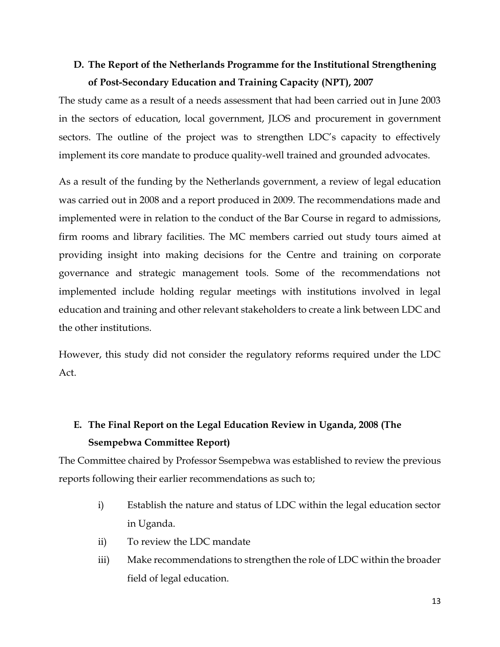# <span id="page-20-0"></span>**D. The Report of the Netherlands Programme for the Institutional Strengthening of Post-Secondary Education and Training Capacity (NPT), 2007**

The study came as a result of a needs assessment that had been carried out in June 2003 in the sectors of education, local government, JLOS and procurement in government sectors. The outline of the project was to strengthen LDC's capacity to effectively implement its core mandate to produce quality-well trained and grounded advocates.

As a result of the funding by the Netherlands government, a review of legal education was carried out in 2008 and a report produced in 2009. The recommendations made and implemented were in relation to the conduct of the Bar Course in regard to admissions, firm rooms and library facilities. The MC members carried out study tours aimed at providing insight into making decisions for the Centre and training on corporate governance and strategic management tools. Some of the recommendations not implemented include holding regular meetings with institutions involved in legal education and training and other relevant stakeholders to create a link between LDC and the other institutions.

However, this study did not consider the regulatory reforms required under the LDC Act.

# <span id="page-20-1"></span>**E. The Final Report on the Legal Education Review in Uganda, 2008 (The Ssempebwa Committee Report)**

The Committee chaired by Professor Ssempebwa was established to review the previous reports following their earlier recommendations as such to;

- i) Establish the nature and status of LDC within the legal education sector in Uganda.
- ii) To review the LDC mandate
- iii) Make recommendations to strengthen the role of LDC within the broader field of legal education.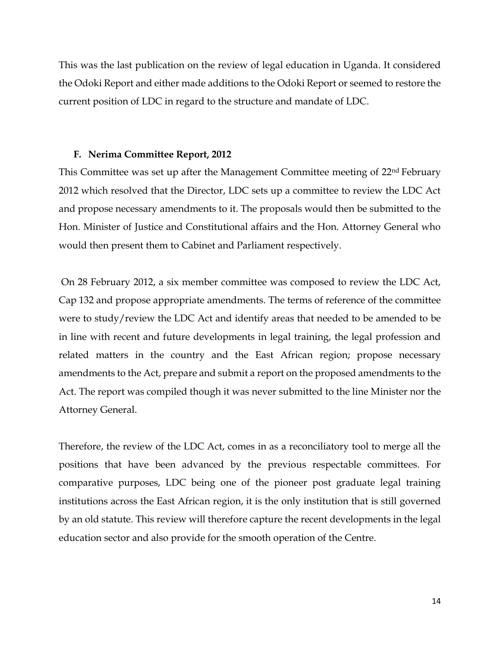This was the last publication on the review of legal education in Uganda. It considered the Odoki Report and either made additions to the Odoki Report or seemed to restore the current position of LDC in regard to the structure and mandate of LDC.

#### <span id="page-21-0"></span>**F. Nerima Committee Report, 2012**

This Committee was set up after the Management Committee meeting of 22nd February 2012 which resolved that the Director, LDC sets up a committee to review the LDC Act and propose necessary amendments to it. The proposals would then be submitted to the Hon. Minister of Justice and Constitutional affairs and the Hon. Attorney General who would then present them to Cabinet and Parliament respectively.

On 28 February 2012, a six member committee was composed to review the LDC Act, Cap 132 and propose appropriate amendments. The terms of reference of the committee were to study/review the LDC Act and identify areas that needed to be amended to be in line with recent and future developments in legal training, the legal profession and related matters in the country and the East African region; propose necessary amendments to the Act, prepare and submit a report on the proposed amendments to the Act. The report was compiled though it was never submitted to the line Minister nor the Attorney General.

Therefore, the review of the LDC Act, comes in as a reconciliatory tool to merge all the positions that have been advanced by the previous respectable committees. For comparative purposes, LDC being one of the pioneer post graduate legal training institutions across the East African region, it is the only institution that is still governed by an old statute. This review will therefore capture the recent developments in the legal education sector and also provide for the smooth operation of the Centre.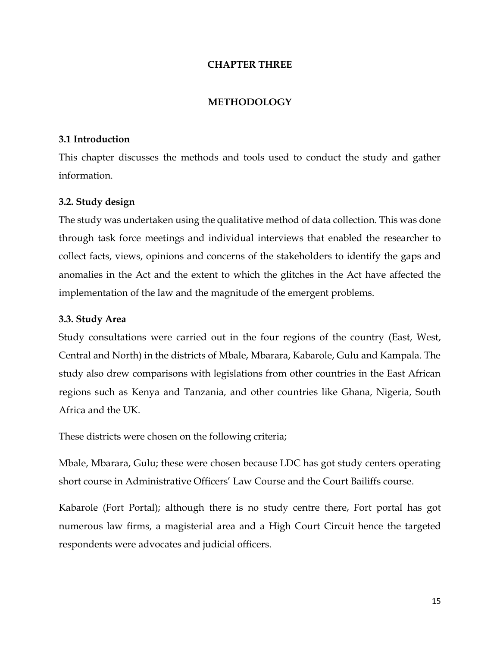#### **CHAPTER THREE**

#### **METHODOLOGY**

#### <span id="page-22-2"></span><span id="page-22-1"></span><span id="page-22-0"></span>**3.1 Introduction**

This chapter discusses the methods and tools used to conduct the study and gather information.

#### <span id="page-22-3"></span>**3.2. Study design**

The study was undertaken using the qualitative method of data collection. This was done through task force meetings and individual interviews that enabled the researcher to collect facts, views, opinions and concerns of the stakeholders to identify the gaps and anomalies in the Act and the extent to which the glitches in the Act have affected the implementation of the law and the magnitude of the emergent problems.

#### <span id="page-22-4"></span>**3.3. Study Area**

Study consultations were carried out in the four regions of the country (East, West, Central and North) in the districts of Mbale, Mbarara, Kabarole, Gulu and Kampala. The study also drew comparisons with legislations from other countries in the East African regions such as Kenya and Tanzania, and other countries like Ghana, Nigeria, South Africa and the UK.

These districts were chosen on the following criteria;

Mbale, Mbarara, Gulu; these were chosen because LDC has got study centers operating short course in Administrative Officers' Law Course and the Court Bailiffs course.

Kabarole (Fort Portal); although there is no study centre there, Fort portal has got numerous law firms, a magisterial area and a High Court Circuit hence the targeted respondents were advocates and judicial officers.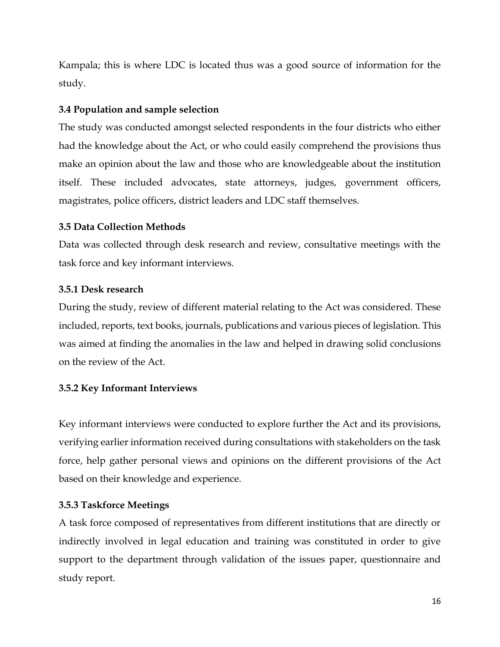Kampala; this is where LDC is located thus was a good source of information for the study.

### <span id="page-23-0"></span>**3.4 Population and sample selection**

The study was conducted amongst selected respondents in the four districts who either had the knowledge about the Act, or who could easily comprehend the provisions thus make an opinion about the law and those who are knowledgeable about the institution itself. These included advocates, state attorneys, judges, government officers, magistrates, police officers, district leaders and LDC staff themselves.

### <span id="page-23-1"></span>**3.5 Data Collection Methods**

Data was collected through desk research and review, consultative meetings with the task force and key informant interviews.

### <span id="page-23-2"></span>**3.5.1 Desk research**

During the study, review of different material relating to the Act was considered. These included, reports, text books, journals, publications and various pieces of legislation. This was aimed at finding the anomalies in the law and helped in drawing solid conclusions on the review of the Act.

## <span id="page-23-3"></span>**3.5.2 Key Informant Interviews**

Key informant interviews were conducted to explore further the Act and its provisions, verifying earlier information received during consultations with stakeholders on the task force, help gather personal views and opinions on the different provisions of the Act based on their knowledge and experience.

## <span id="page-23-4"></span>**3.5.3 Taskforce Meetings**

A task force composed of representatives from different institutions that are directly or indirectly involved in legal education and training was constituted in order to give support to the department through validation of the issues paper, questionnaire and study report.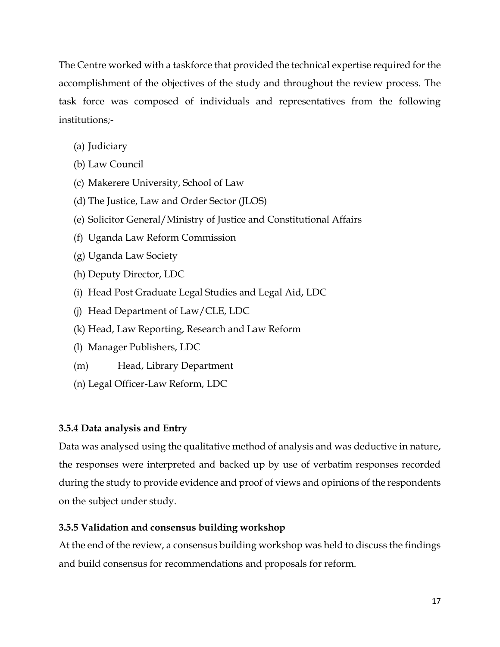The Centre worked with a taskforce that provided the technical expertise required for the accomplishment of the objectives of the study and throughout the review process. The task force was composed of individuals and representatives from the following institutions;-

- (a) Judiciary
- (b) Law Council
- (c) Makerere University, School of Law
- (d) The Justice, Law and Order Sector (JLOS)
- (e) Solicitor General/Ministry of Justice and Constitutional Affairs
- (f) Uganda Law Reform Commission
- (g) Uganda Law Society
- (h) Deputy Director, LDC
- (i) Head Post Graduate Legal Studies and Legal Aid, LDC
- (j) Head Department of Law/CLE, LDC
- (k) Head, Law Reporting, Research and Law Reform
- (l) Manager Publishers, LDC
- (m) Head, Library Department
- (n) Legal Officer-Law Reform, LDC

# <span id="page-24-0"></span>**3.5.4 Data analysis and Entry**

Data was analysed using the qualitative method of analysis and was deductive in nature, the responses were interpreted and backed up by use of verbatim responses recorded during the study to provide evidence and proof of views and opinions of the respondents on the subject under study.

# <span id="page-24-1"></span>**3.5.5 Validation and consensus building workshop**

At the end of the review, a consensus building workshop was held to discuss the findings and build consensus for recommendations and proposals for reform.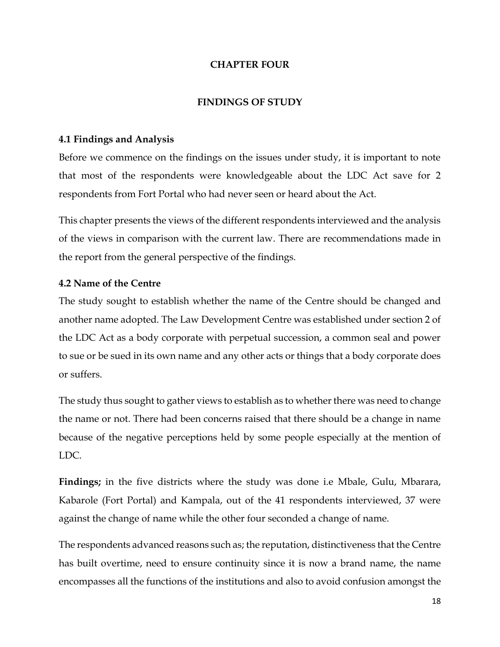### **CHAPTER FOUR**

### **FINDINGS OF STUDY**

### <span id="page-25-2"></span><span id="page-25-1"></span><span id="page-25-0"></span>**4.1 Findings and Analysis**

Before we commence on the findings on the issues under study, it is important to note that most of the respondents were knowledgeable about the LDC Act save for 2 respondents from Fort Portal who had never seen or heard about the Act.

This chapter presents the views of the different respondents interviewed and the analysis of the views in comparison with the current law. There are recommendations made in the report from the general perspective of the findings.

### <span id="page-25-3"></span>**4.2 Name of the Centre**

The study sought to establish whether the name of the Centre should be changed and another name adopted. The Law Development Centre was established under section 2 of the LDC Act as a body corporate with perpetual succession, a common seal and power to sue or be sued in its own name and any other acts or things that a body corporate does or suffers.

The study thus sought to gather views to establish as to whether there was need to change the name or not. There had been concerns raised that there should be a change in name because of the negative perceptions held by some people especially at the mention of LDC.

**Findings;** in the five districts where the study was done i.e Mbale, Gulu, Mbarara, Kabarole (Fort Portal) and Kampala, out of the 41 respondents interviewed, 37 were against the change of name while the other four seconded a change of name.

The respondents advanced reasons such as; the reputation, distinctiveness that the Centre has built overtime, need to ensure continuity since it is now a brand name, the name encompasses all the functions of the institutions and also to avoid confusion amongst the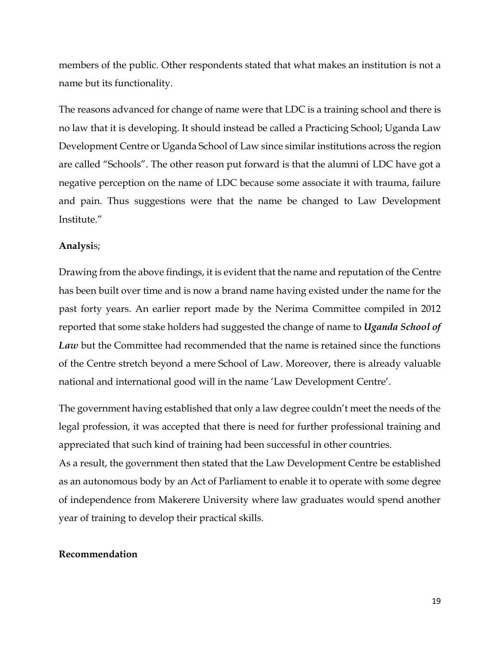members of the public. Other respondents stated that what makes an institution is not a name but its functionality.

The reasons advanced for change of name were that LDC is a training school and there is no law that it is developing. It should instead be called a Practicing School; Uganda Law Development Centre or Uganda School of Law since similar institutions across the region are called "Schools". The other reason put forward is that the alumni of LDC have got a negative perception on the name of LDC because some associate it with trauma, failure and pain. Thus suggestions were that the name be changed to Law Development Institute."

#### **Analysi**s;

Drawing from the above findings, it is evident that the name and reputation of the Centre has been built over time and is now a brand name having existed under the name for the past forty years. An earlier report made by the Nerima Committee compiled in 2012 reported that some stake holders had suggested the change of name to *Uganda School of Law* but the Committee had recommended that the name is retained since the functions of the Centre stretch beyond a mere School of Law. Moreover, there is already valuable national and international good will in the name 'Law Development Centre'.

The government having established that only a law degree couldn't meet the needs of the legal profession, it was accepted that there is need for further professional training and appreciated that such kind of training had been successful in other countries.

As a result, the government then stated that the Law Development Centre be established as an autonomous body by an Act of Parliament to enable it to operate with some degree of independence from Makerere University where law graduates would spend another year of training to develop their practical skills.

#### **Recommendation**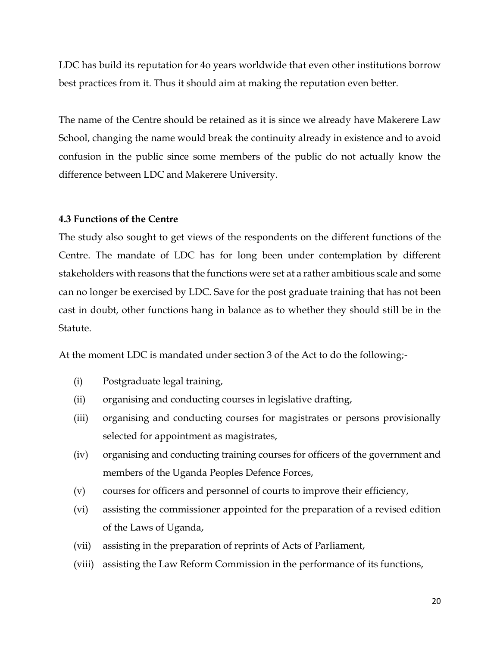LDC has build its reputation for 4o years worldwide that even other institutions borrow best practices from it. Thus it should aim at making the reputation even better.

The name of the Centre should be retained as it is since we already have Makerere Law School, changing the name would break the continuity already in existence and to avoid confusion in the public since some members of the public do not actually know the difference between LDC and Makerere University.

#### <span id="page-27-0"></span>**4.3 Functions of the Centre**

The study also sought to get views of the respondents on the different functions of the Centre. The mandate of LDC has for long been under contemplation by different stakeholders with reasons that the functions were set at a rather ambitious scale and some can no longer be exercised by LDC. Save for the post graduate training that has not been cast in doubt, other functions hang in balance as to whether they should still be in the Statute.

At the moment LDC is mandated under section 3 of the Act to do the following;-

- (i) Postgraduate legal training,
- (ii) organising and conducting courses in legislative drafting,
- (iii) organising and conducting courses for magistrates or persons provisionally selected for appointment as magistrates,
- (iv) organising and conducting training courses for officers of the government and members of the Uganda Peoples Defence Forces,
- (v) courses for officers and personnel of courts to improve their efficiency,
- (vi) assisting the commissioner appointed for the preparation of a revised edition of the Laws of Uganda,
- (vii) assisting in the preparation of reprints of Acts of Parliament,
- (viii) assisting the Law Reform Commission in the performance of its functions,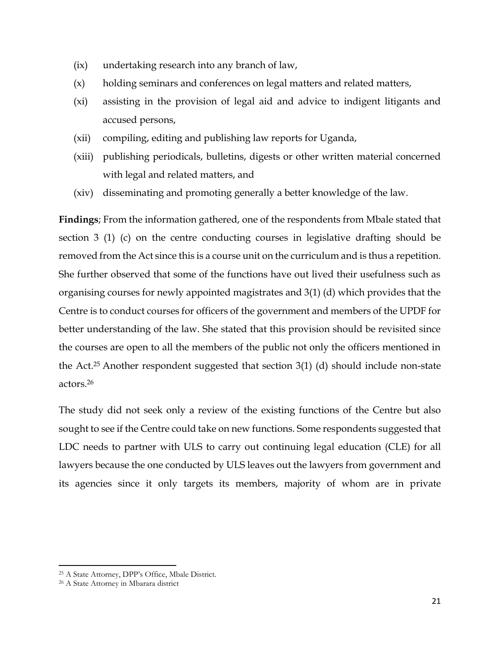- (ix) undertaking research into any branch of law,
- (x) holding seminars and conferences on legal matters and related matters,
- (xi) assisting in the provision of legal aid and advice to indigent litigants and accused persons,
- (xii) compiling, editing and publishing law reports for Uganda,
- (xiii) publishing periodicals, bulletins, digests or other written material concerned with legal and related matters, and
- (xiv) disseminating and promoting generally a better knowledge of the law.

**Findings**; From the information gathered, one of the respondents from Mbale stated that section 3 (1) (c) on the centre conducting courses in legislative drafting should be removed from the Act since this is a course unit on the curriculum and is thus a repetition. She further observed that some of the functions have out lived their usefulness such as organising courses for newly appointed magistrates and 3(1) (d) which provides that the Centre is to conduct courses for officers of the government and members of the UPDF for better understanding of the law. She stated that this provision should be revisited since the courses are open to all the members of the public not only the officers mentioned in the Act.<sup>25</sup> Another respondent suggested that section 3(1) (d) should include non-state actors. 26

The study did not seek only a review of the existing functions of the Centre but also sought to see if the Centre could take on new functions. Some respondents suggested that LDC needs to partner with ULS to carry out continuing legal education (CLE) for all lawyers because the one conducted by ULS leaves out the lawyers from government and its agencies since it only targets its members, majority of whom are in private

 $\overline{\phantom{a}}$ 

<sup>25</sup> A State Attorney, DPP's Office, Mbale District.

<sup>26</sup> A State Attorney in Mbarara district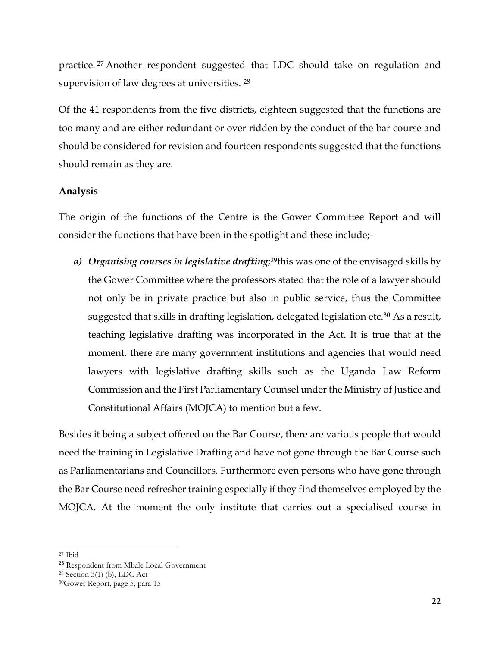practice. <sup>27</sup> Another respondent suggested that LDC should take on regulation and supervision of law degrees at universities. <sup>28</sup>

Of the 41 respondents from the five districts, eighteen suggested that the functions are too many and are either redundant or over ridden by the conduct of the bar course and should be considered for revision and fourteen respondents suggested that the functions should remain as they are.

### **Analysis**

The origin of the functions of the Centre is the Gower Committee Report and will consider the functions that have been in the spotlight and these include;-

*a) Organising courses in legislative drafting*; <sup>29</sup>this was one of the envisaged skills by the Gower Committee where the professors stated that the role of a lawyer should not only be in private practice but also in public service, thus the Committee suggested that skills in drafting legislation, delegated legislation etc.<sup>30</sup> As a result, teaching legislative drafting was incorporated in the Act. It is true that at the moment, there are many government institutions and agencies that would need lawyers with legislative drafting skills such as the Uganda Law Reform Commission and the First Parliamentary Counsel under the Ministry of Justice and Constitutional Affairs (MOJCA) to mention but a few.

Besides it being a subject offered on the Bar Course, there are various people that would need the training in Legislative Drafting and have not gone through the Bar Course such as Parliamentarians and Councillors. Furthermore even persons who have gone through the Bar Course need refresher training especially if they find themselves employed by the MOJCA. At the moment the only institute that carries out a specialised course in

 $\overline{\phantom{a}}$ 

<sup>27</sup> Ibid

<sup>28</sup> Respondent from Mbale Local Government

<sup>29</sup> Section 3(1) (b), LDC Act

<sup>30</sup>Gower Report, page 5, para 15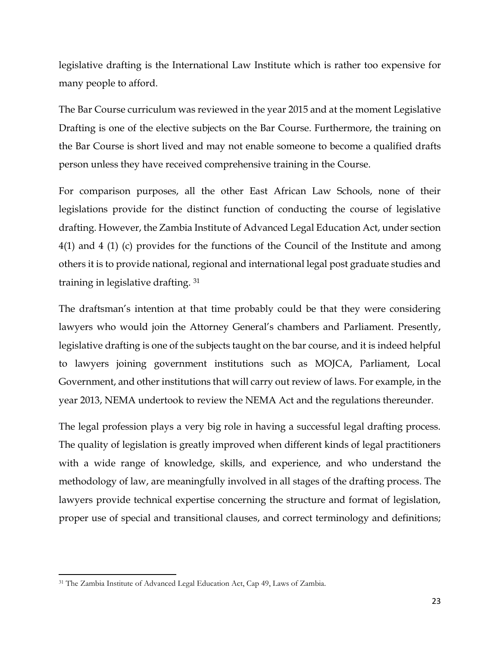legislative drafting is the International Law Institute which is rather too expensive for many people to afford.

The Bar Course curriculum was reviewed in the year 2015 and at the moment Legislative Drafting is one of the elective subjects on the Bar Course. Furthermore, the training on the Bar Course is short lived and may not enable someone to become a qualified drafts person unless they have received comprehensive training in the Course.

For comparison purposes, all the other East African Law Schools, none of their legislations provide for the distinct function of conducting the course of legislative drafting. However, the Zambia Institute of Advanced Legal Education Act, under section 4(1) and 4 (1) (c) provides for the functions of the Council of the Institute and among others it is to provide national, regional and international legal post graduate studies and training in legislative drafting. <sup>31</sup>

The draftsman's intention at that time probably could be that they were considering lawyers who would join the Attorney General's chambers and Parliament. Presently, legislative drafting is one of the subjects taught on the bar course, and it is indeed helpful to lawyers joining government institutions such as MOJCA, Parliament, Local Government, and other institutions that will carry out review of laws. For example, in the year 2013, NEMA undertook to review the NEMA Act and the regulations thereunder.

The legal profession plays a very big role in having a successful legal drafting process. The quality of legislation is greatly improved when different kinds of legal practitioners with a wide range of knowledge, skills, and experience, and who understand the methodology of law, are meaningfully involved in all stages of the drafting process. The lawyers provide technical expertise concerning the structure and format of legislation, proper use of special and transitional clauses, and correct terminology and definitions;

 $\overline{a}$ 

<sup>31</sup> The Zambia Institute of Advanced Legal Education Act, Cap 49, Laws of Zambia.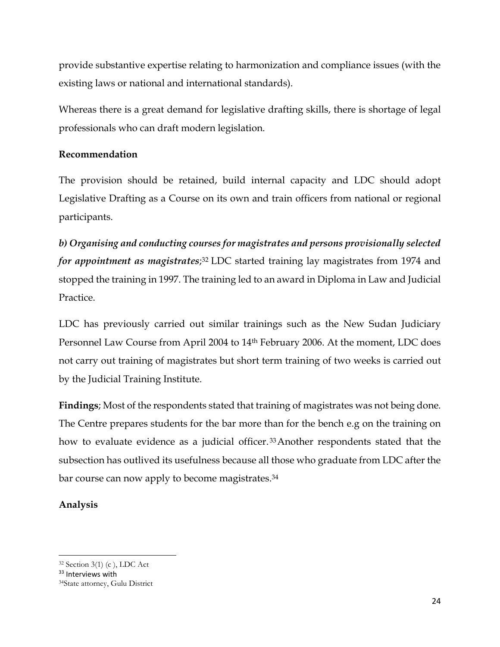provide substantive expertise relating to harmonization and compliance issues (with the existing laws or national and international standards).

Whereas there is a great demand for legislative drafting skills, there is shortage of legal professionals who can draft modern legislation.

### **Recommendation**

The provision should be retained, build internal capacity and LDC should adopt Legislative Drafting as a Course on its own and train officers from national or regional participants.

*b) Organising and conducting courses for magistrates and persons provisionally selected for appointment as magistrates*; <sup>32</sup> LDC started training lay magistrates from 1974 and stopped the training in 1997. The training led to an award in Diploma in Law and Judicial Practice.

LDC has previously carried out similar trainings such as the New Sudan Judiciary Personnel Law Course from April 2004 to 14th February 2006. At the moment, LDC does not carry out training of magistrates but short term training of two weeks is carried out by the Judicial Training Institute.

**Findings**; Most of the respondents stated that training of magistrates was not being done. The Centre prepares students for the bar more than for the bench e.g on the training on how to evaluate evidence as a judicial officer. <sup>33</sup>Another respondents stated that the subsection has outlived its usefulness because all those who graduate from LDC after the bar course can now apply to become magistrates. 34

## **Analysis**

 $\overline{\phantom{a}}$ <sup>32</sup> Section 3(1) (c ), LDC Act

<sup>33</sup> Interviews with

<sup>34</sup>State attorney, Gulu District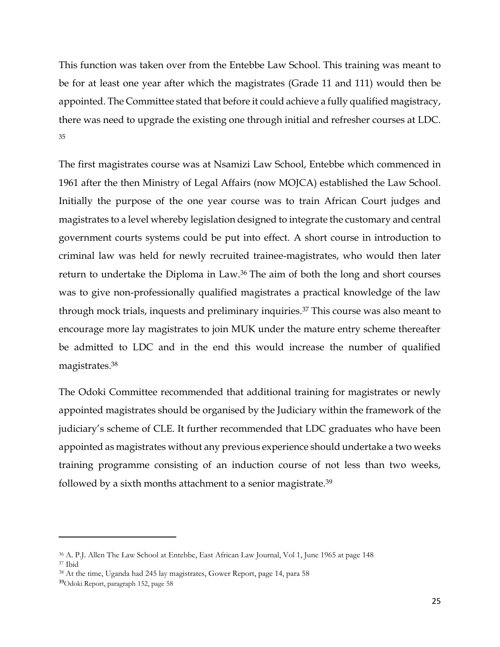This function was taken over from the Entebbe Law School. This training was meant to be for at least one year after which the magistrates (Grade 11 and 111) would then be appointed. The Committee stated that before it could achieve a fully qualified magistracy, there was need to upgrade the existing one through initial and refresher courses at LDC. 35

The first magistrates course was at Nsamizi Law School, Entebbe which commenced in 1961 after the then Ministry of Legal Affairs (now MOJCA) established the Law School. Initially the purpose of the one year course was to train African Court judges and magistrates to a level whereby legislation designed to integrate the customary and central government courts systems could be put into effect. A short course in introduction to criminal law was held for newly recruited trainee-magistrates, who would then later return to undertake the Diploma in Law.<sup>36</sup> The aim of both the long and short courses was to give non-professionally qualified magistrates a practical knowledge of the law through mock trials, inquests and preliminary inquiries.<sup>37</sup> This course was also meant to encourage more lay magistrates to join MUK under the mature entry scheme thereafter be admitted to LDC and in the end this would increase the number of qualified magistrates. 38

The Odoki Committee recommended that additional training for magistrates or newly appointed magistrates should be organised by the Judiciary within the framework of the judiciary's scheme of CLE. It further recommended that LDC graduates who have been appointed as magistrates without any previous experience should undertake a two weeks training programme consisting of an induction course of not less than two weeks, followed by a sixth months attachment to a senior magistrate.<sup>39</sup>

 $\overline{\phantom{a}}$ 

<sup>36</sup> A. P.J. Allen The Law School at Entebbe, East African Law Journal, Vol 1, June 1965 at page 148 <sup>37</sup> Ibid

<sup>38</sup> At the time, Uganda had 245 lay magistrates, Gower Report, page 14, para 58

<sup>39</sup>Odoki Report, paragraph 152, page 58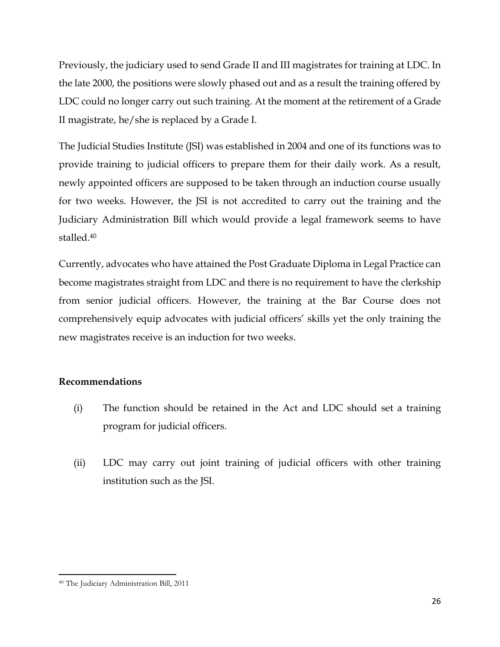Previously, the judiciary used to send Grade II and III magistrates for training at LDC. In the late 2000, the positions were slowly phased out and as a result the training offered by LDC could no longer carry out such training. At the moment at the retirement of a Grade II magistrate, he/she is replaced by a Grade I.

The Judicial Studies Institute (JSI) was established in 2004 and one of its functions was to provide training to judicial officers to prepare them for their daily work. As a result, newly appointed officers are supposed to be taken through an induction course usually for two weeks. However, the JSI is not accredited to carry out the training and the Judiciary Administration Bill which would provide a legal framework seems to have stalled.<sup>40</sup>

Currently, advocates who have attained the Post Graduate Diploma in Legal Practice can become magistrates straight from LDC and there is no requirement to have the clerkship from senior judicial officers. However, the training at the Bar Course does not comprehensively equip advocates with judicial officers' skills yet the only training the new magistrates receive is an induction for two weeks.

## **Recommendations**

- (i) The function should be retained in the Act and LDC should set a training program for judicial officers.
- (ii) LDC may carry out joint training of judicial officers with other training institution such as the JSI.

 $\overline{a}$ 

<sup>40</sup> The Judiciary Administration Bill, 2011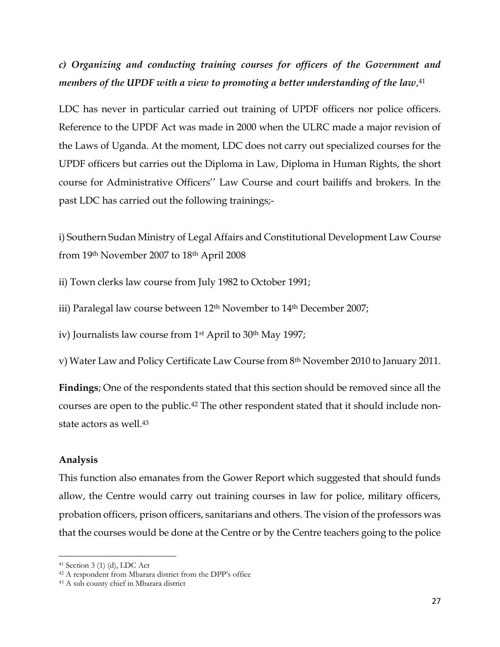# *c) Organizing and conducting training courses for officers of the Government and members of the UPDF with a view to promoting a better understanding of the law*, 41

LDC has never in particular carried out training of UPDF officers nor police officers. Reference to the UPDF Act was made in 2000 when the ULRC made a major revision of the Laws of Uganda. At the moment, LDC does not carry out specialized courses for the UPDF officers but carries out the Diploma in Law, Diploma in Human Rights, the short course for Administrative Officers'' Law Course and court bailiffs and brokers. In the past LDC has carried out the following trainings;-

i) Southern Sudan Ministry of Legal Affairs and Constitutional Development Law Course from 19th November 2007 to 18th April 2008

ii) Town clerks law course from July 1982 to October 1991;

iii) Paralegal law course between 12<sup>th</sup> November to 14<sup>th</sup> December 2007;

iv) Journalists law course from 1<sup>st</sup> April to 30<sup>th</sup> May 1997;

v) Water Law and Policy Certificate Law Course from 8th November 2010 to January 2011.

**Findings**; One of the respondents stated that this section should be removed since all the courses are open to the public.<sup>42</sup> The other respondent stated that it should include nonstate actors as well.<sup>43</sup>

### **Analysis**

l

This function also emanates from the Gower Report which suggested that should funds allow, the Centre would carry out training courses in law for police, military officers, probation officers, prison officers, sanitarians and others. The vision of the professors was that the courses would be done at the Centre or by the Centre teachers going to the police

<sup>41</sup> Section 3 (1) (d), LDC Act

<sup>42</sup> A respondent from Mbarara district from the DPP's office

<sup>43</sup> A sub county chief in Mbarara district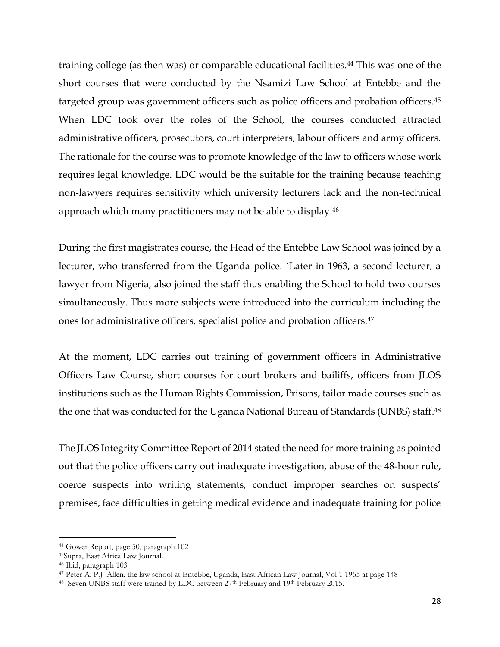training college (as then was) or comparable educational facilities.<sup>44</sup> This was one of the short courses that were conducted by the Nsamizi Law School at Entebbe and the targeted group was government officers such as police officers and probation officers.<sup>45</sup> When LDC took over the roles of the School, the courses conducted attracted administrative officers, prosecutors, court interpreters, labour officers and army officers. The rationale for the course was to promote knowledge of the law to officers whose work requires legal knowledge. LDC would be the suitable for the training because teaching non-lawyers requires sensitivity which university lecturers lack and the non-technical approach which many practitioners may not be able to display.<sup>46</sup>

During the first magistrates course, the Head of the Entebbe Law School was joined by a lecturer, who transferred from the Uganda police. `Later in 1963, a second lecturer, a lawyer from Nigeria, also joined the staff thus enabling the School to hold two courses simultaneously. Thus more subjects were introduced into the curriculum including the ones for administrative officers, specialist police and probation officers.<sup>47</sup>

At the moment, LDC carries out training of government officers in Administrative Officers Law Course, short courses for court brokers and bailiffs, officers from JLOS institutions such as the Human Rights Commission, Prisons, tailor made courses such as the one that was conducted for the Uganda National Bureau of Standards (UNBS) staff. 48

The JLOS Integrity Committee Report of 2014 stated the need for more training as pointed out that the police officers carry out inadequate investigation, abuse of the 48-hour rule, coerce suspects into writing statements, conduct improper searches on suspects' premises, face difficulties in getting medical evidence and inadequate training for police

 $\overline{a}$ 

<sup>44</sup> Gower Report, page 50, paragraph 102

<sup>45</sup>Supra, East Africa Law Journal.

<sup>46</sup> Ibid, paragraph 103

<sup>47</sup> Peter A. P.J Allen, the law school at Entebbe, Uganda, East African Law Journal, Vol 1 1965 at page 148

<sup>&</sup>lt;sup>48</sup> Seven UNBS staff were trained by LDC between 27<sup>th</sup> February and 19<sup>th</sup> February 2015.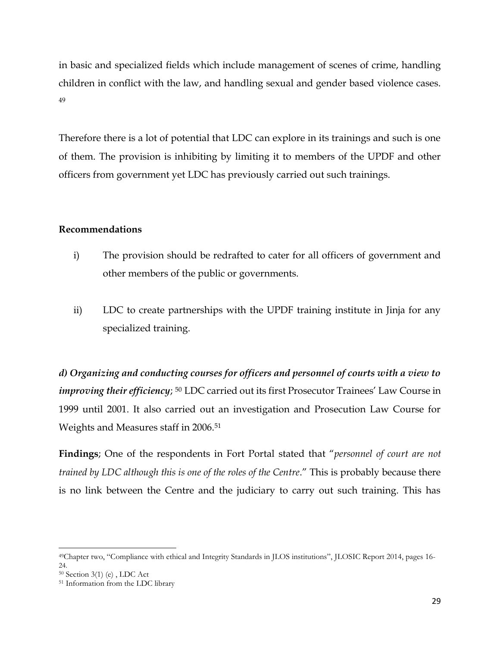in basic and specialized fields which include management of scenes of crime, handling children in conflict with the law, and handling sexual and gender based violence cases. 49

Therefore there is a lot of potential that LDC can explore in its trainings and such is one of them. The provision is inhibiting by limiting it to members of the UPDF and other officers from government yet LDC has previously carried out such trainings.

### **Recommendations**

- i) The provision should be redrafted to cater for all officers of government and other members of the public or governments.
- ii) LDC to create partnerships with the UPDF training institute in Jinja for any specialized training.

*d) Organizing and conducting courses for officers and personnel of courts with a view to improving their efficiency*; <sup>50</sup> LDC carried out its first Prosecutor Trainees' Law Course in 1999 until 2001. It also carried out an investigation and Prosecution Law Course for Weights and Measures staff in 2006.<sup>51</sup>

**Findings**; One of the respondents in Fort Portal stated that "*personnel of court are not trained by LDC although this is one of the roles of the Centre*." This is probably because there is no link between the Centre and the judiciary to carry out such training. This has

 $\overline{a}$ 

<sup>49</sup>Chapter two, "Compliance with ethical and Integrity Standards in JLOS institutions", JLOSIC Report 2014, pages 16- 24.

<sup>50</sup> Section 3(1) (e) , LDC Act

<sup>51</sup> Information from the LDC library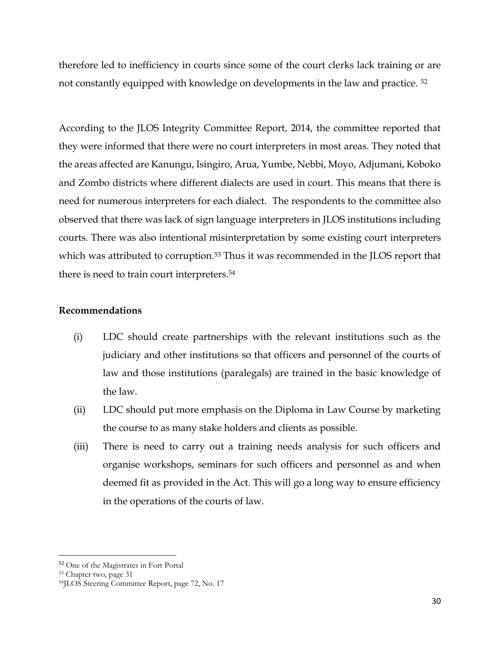therefore led to inefficiency in courts since some of the court clerks lack training or are not constantly equipped with knowledge on developments in the law and practice. <sup>52</sup>

According to the JLOS Integrity Committee Report, 2014, the committee reported that they were informed that there were no court interpreters in most areas. They noted that the areas affected are Kanungu, Isingiro, Arua, Yumbe, Nebbi, Moyo, Adjumani, Koboko and Zombo districts where different dialects are used in court. This means that there is need for numerous interpreters for each dialect. The respondents to the committee also observed that there was lack of sign language interpreters in JLOS institutions including courts. There was also intentional misinterpretation by some existing court interpreters which was attributed to corruption.<sup>53</sup> Thus it was recommended in the JLOS report that there is need to train court interpreters. 54

### **Recommendations**

- (i) LDC should create partnerships with the relevant institutions such as the judiciary and other institutions so that officers and personnel of the courts of law and those institutions (paralegals) are trained in the basic knowledge of the law.
- (ii) LDC should put more emphasis on the Diploma in Law Course by marketing the course to as many stake holders and clients as possible.
- (iii) There is need to carry out a training needs analysis for such officers and organise workshops, seminars for such officers and personnel as and when deemed fit as provided in the Act. This will go a long way to ensure efficiency in the operations of the courts of law.

<sup>52</sup> One of the Magistrates in Fort Portal

<sup>53</sup> Chapter two, page 31

<sup>54</sup>JLOS Steering Committee Report, page 72, No. 17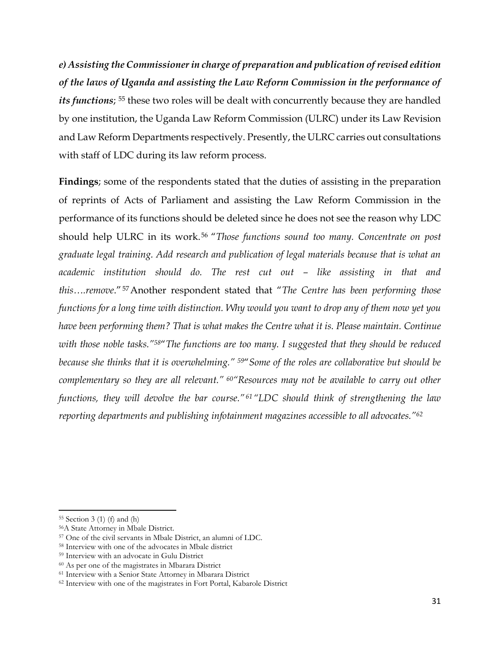*e) Assisting the Commissioner in charge of preparation and publication of revised edition of the laws of Uganda and assisting the Law Reform Commission in the performance of its functions*; <sup>55</sup> these two roles will be dealt with concurrently because they are handled by one institution, the Uganda Law Reform Commission (ULRC) under its Law Revision and Law Reform Departments respectively. Presently, the ULRC carries out consultations with staff of LDC during its law reform process.

**Findings**; some of the respondents stated that the duties of assisting in the preparation of reprints of Acts of Parliament and assisting the Law Reform Commission in the performance of its functions should be deleted since he does not see the reason why LDC should help ULRC in its work.<sup>56</sup> "*Those functions sound too many. Concentrate on post graduate legal training. Add research and publication of legal materials because that is what an academic institution should do. The rest cut out – like assisting in that and this….remove*."57Another respondent stated that "*The Centre has been performing those functions for a long time with distinction. Why would you want to drop any of them now yet you have been performing them? That is what makes the Centre what it is. Please maintain. Continue with those noble tasks."58*"*The functions are too many. I suggested that they should be reduced because she thinks that it is overwhelming." 59*"*Some of the roles are collaborative but should be complementary so they are all relevant." 60"Resources may not be available to carry out other functions, they will devolve the bar course."<sup>61</sup> "LDC should think of strengthening the law reporting departments and publishing infotainment magazines accessible to all advocates."<sup>62</sup>*

<sup>55</sup> Section 3 (1) (f) and (h)

<sup>56</sup>A State Attorney in Mbale District.

<sup>57</sup> One of the civil servants in Mbale District, an alumni of LDC.

<sup>58</sup> Interview with one of the advocates in Mbale district

<sup>59</sup> Interview with an advocate in Gulu District

<sup>60</sup> As per one of the magistrates in Mbarara District

<sup>61</sup> Interview with a Senior State Attorney in Mbarara District

<sup>62</sup> Interview with one of the magistrates in Fort Portal, Kabarole District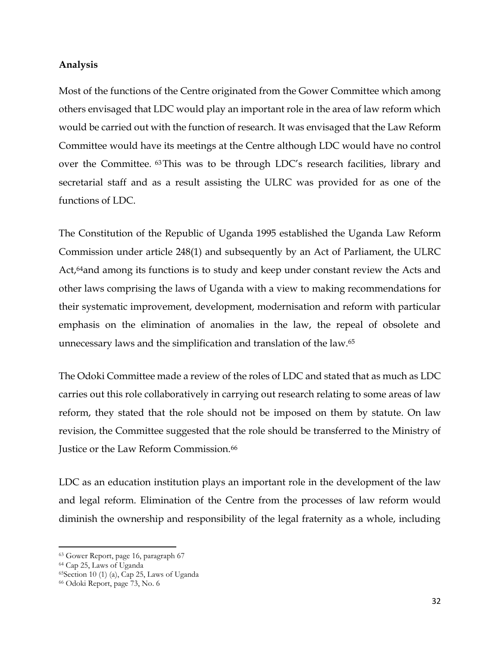#### **Analysis**

Most of the functions of the Centre originated from the Gower Committee which among others envisaged that LDC would play an important role in the area of law reform which would be carried out with the function of research. It was envisaged that the Law Reform Committee would have its meetings at the Centre although LDC would have no control over the Committee. 63This was to be through LDC's research facilities, library and secretarial staff and as a result assisting the ULRC was provided for as one of the functions of LDC.

The Constitution of the Republic of Uganda 1995 established the Uganda Law Reform Commission under article 248(1) and subsequently by an Act of Parliament, the ULRC Act,<sup>64</sup>and among its functions is to study and keep under constant review the Acts and other laws comprising the laws of Uganda with a view to making recommendations for their systematic improvement, development, modernisation and reform with particular emphasis on the elimination of anomalies in the law, the repeal of obsolete and unnecessary laws and the simplification and translation of the law.<sup>65</sup>

The Odoki Committee made a review of the roles of LDC and stated that as much as LDC carries out this role collaboratively in carrying out research relating to some areas of law reform, they stated that the role should not be imposed on them by statute. On law revision, the Committee suggested that the role should be transferred to the Ministry of Justice or the Law Reform Commission.<sup>66</sup>

LDC as an education institution plays an important role in the development of the law and legal reform. Elimination of the Centre from the processes of law reform would diminish the ownership and responsibility of the legal fraternity as a whole, including

<sup>63</sup> Gower Report, page 16, paragraph 67

<sup>64</sup> Cap 25, Laws of Uganda

<sup>65</sup>Section 10 (1) (a), Cap 25, Laws of Uganda

<sup>66</sup> Odoki Report, page 73, No. 6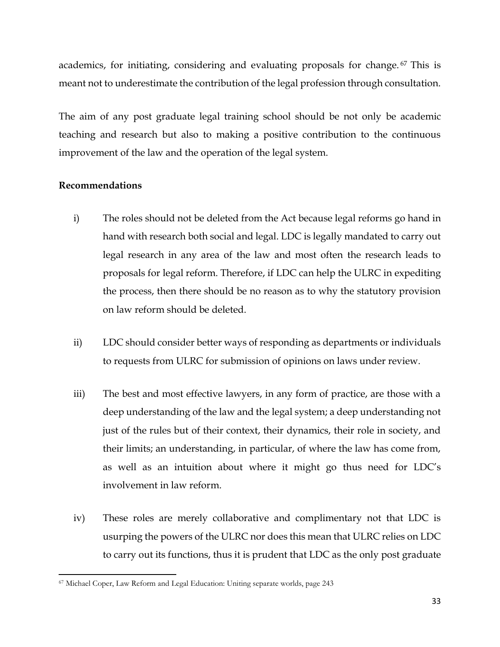academics, for initiating, considering and evaluating proposals for change. <sup>67</sup> This is meant not to underestimate the contribution of the legal profession through consultation.

The aim of any post graduate legal training school should be not only be academic teaching and research but also to making a positive contribution to the continuous improvement of the law and the operation of the legal system.

### **Recommendations**

- i) The roles should not be deleted from the Act because legal reforms go hand in hand with research both social and legal. LDC is legally mandated to carry out legal research in any area of the law and most often the research leads to proposals for legal reform. Therefore, if LDC can help the ULRC in expediting the process, then there should be no reason as to why the statutory provision on law reform should be deleted.
- ii) LDC should consider better ways of responding as departments or individuals to requests from ULRC for submission of opinions on laws under review.
- iii) The best and most effective lawyers, in any form of practice, are those with a deep understanding of the law and the legal system; a deep understanding not just of the rules but of their context, their dynamics, their role in society, and their limits; an understanding, in particular, of where the law has come from, as well as an intuition about where it might go thus need for LDC's involvement in law reform.
- iv) These roles are merely collaborative and complimentary not that LDC is usurping the powers of the ULRC nor does this mean that ULRC relies on LDC to carry out its functions, thus it is prudent that LDC as the only post graduate

 $\overline{a}$ <sup>67</sup> Michael Coper, Law Reform and Legal Education: Uniting separate worlds, page 243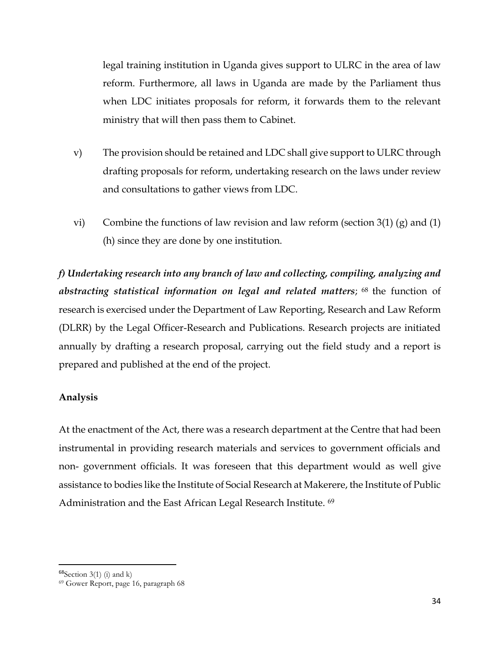legal training institution in Uganda gives support to ULRC in the area of law reform. Furthermore, all laws in Uganda are made by the Parliament thus when LDC initiates proposals for reform, it forwards them to the relevant ministry that will then pass them to Cabinet.

- v) The provision should be retained and LDC shall give support to ULRC through drafting proposals for reform, undertaking research on the laws under review and consultations to gather views from LDC.
- vi) Combine the functions of law revision and law reform (section  $3(1)$  (g) and  $(1)$ (h) since they are done by one institution.

*f) Undertaking research into any branch of law and collecting, compiling, analyzing and abstracting statistical information on legal and related matters*; <sup>68</sup> the function of research is exercised under the Department of Law Reporting, Research and Law Reform (DLRR) by the Legal Officer-Research and Publications. Research projects are initiated annually by drafting a research proposal, carrying out the field study and a report is prepared and published at the end of the project.

### **Analysis**

At the enactment of the Act, there was a research department at the Centre that had been instrumental in providing research materials and services to government officials and non- government officials. It was foreseen that this department would as well give assistance to bodies like the Institute of Social Research at Makerere, the Institute of Public Administration and the East African Legal Research Institute. <sup>69</sup>

 $68$ Section 3(1) (i) and k)

<sup>69</sup> Gower Report, page 16, paragraph 68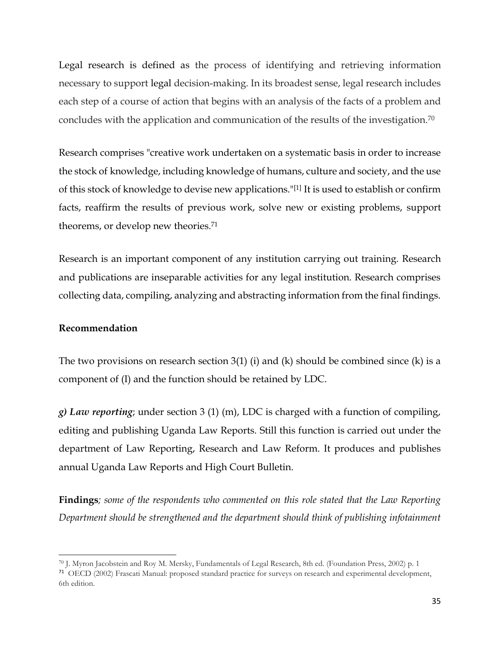Legal research is defined as the process of identifying and retrieving information necessary to support [legal](https://en.wikipedia.org/wiki/Law) decision-making. In its broadest sense, legal research includes each step of a course of action that begins with an analysis of the facts of a problem and concludes with the application and communication of the results of the investigation.<sup>70</sup>

Research comprises "creative work undertaken on a systematic basis in order to increase the stock of [knowledge,](https://en.wikipedia.org/wiki/Knowledge) including knowledge of humans, culture and society, and the use of this stock of knowledge to devise new applications."[\[1\]](https://en.wikipedia.org/wiki/Research#cite_note-1) It is used to establish or confirm facts, reaffirm the results of previous work, solve new or existing problems, support theorems, or develop new [theories.](https://en.wikipedia.org/wiki/Theory) 71

Research is an important component of any institution carrying out training. Research and publications are inseparable activities for any legal institution. Research comprises collecting data, compiling, analyzing and abstracting information from the final findings.

### **Recommendation**

The two provisions on research section 3(1) (i) and (k) should be combined since (k) is a component of (I) and the function should be retained by LDC.

*g) Law reporting*; under section 3 (1) (m), LDC is charged with a function of compiling, editing and publishing Uganda Law Reports. Still this function is carried out under the department of Law Reporting, Research and Law Reform. It produces and publishes annual Uganda Law Reports and High Court Bulletin.

**Findings***; some of the respondents who commented on this role stated that the Law Reporting Department should be strengthened and the department should think of publishing infotainment* 

 $\overline{\phantom{a}}$ <sup>70</sup> J. Myron Jacobstein and Roy M. Mersky, Fundamentals of Legal Research, 8th ed. (Foundation Press, 2002) p. 1

<sup>71</sup> OECD (2002) Frascati Manual: proposed standard practice for surveys on research and experimental development, 6th edition.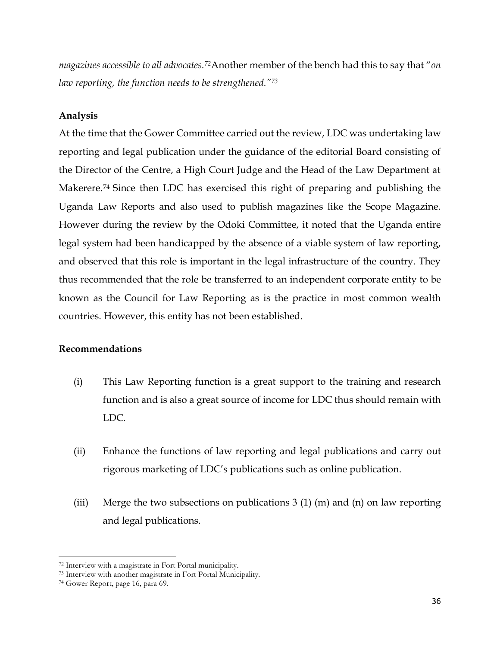*magazines accessible to all advocates.72*Another member of the bench had this to say that "*on law reporting, the function needs to be strengthened."<sup>73</sup>*

# **Analysis**

At the time that the Gower Committee carried out the review, LDC was undertaking law reporting and legal publication under the guidance of the editorial Board consisting of the Director of the Centre, a High Court Judge and the Head of the Law Department at Makerere. <sup>74</sup> Since then LDC has exercised this right of preparing and publishing the Uganda Law Reports and also used to publish magazines like the Scope Magazine. However during the review by the Odoki Committee, it noted that the Uganda entire legal system had been handicapped by the absence of a viable system of law reporting, and observed that this role is important in the legal infrastructure of the country. They thus recommended that the role be transferred to an independent corporate entity to be known as the Council for Law Reporting as is the practice in most common wealth countries. However, this entity has not been established.

### **Recommendations**

- (i) This Law Reporting function is a great support to the training and research function and is also a great source of income for LDC thus should remain with LDC.
- (ii) Enhance the functions of law reporting and legal publications and carry out rigorous marketing of LDC's publications such as online publication.
- (iii) Merge the two subsections on publications 3 (1) (m) and (n) on law reporting and legal publications.

<sup>72</sup> Interview with a magistrate in Fort Portal municipality.

<sup>73</sup> Interview with another magistrate in Fort Portal Municipality.

<sup>74</sup> Gower Report, page 16, para 69.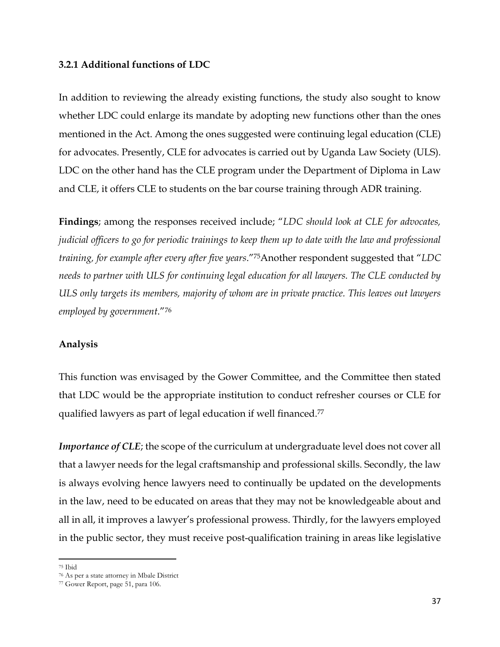#### **3.2.1 Additional functions of LDC**

In addition to reviewing the already existing functions, the study also sought to know whether LDC could enlarge its mandate by adopting new functions other than the ones mentioned in the Act. Among the ones suggested were continuing legal education (CLE) for advocates. Presently, CLE for advocates is carried out by Uganda Law Society (ULS). LDC on the other hand has the CLE program under the Department of Diploma in Law and CLE, it offers CLE to students on the bar course training through ADR training.

**Findings**; among the responses received include; "*LDC should look at CLE for advocates, judicial officers to go for periodic trainings to keep them up to date with the law and professional training, for example after every after five years*."75Another respondent suggested that "*LDC needs to partner with ULS for continuing legal education for all lawyers. The CLE conducted by ULS only targets its members, majority of whom are in private practice. This leaves out lawyers employed by government*."<sup>76</sup>

### **Analysis**

This function was envisaged by the Gower Committee, and the Committee then stated that LDC would be the appropriate institution to conduct refresher courses or CLE for qualified lawyers as part of legal education if well financed.<sup>77</sup>

*Importance of CLE*; the scope of the curriculum at undergraduate level does not cover all that a lawyer needs for the legal craftsmanship and professional skills. Secondly, the law is always evolving hence lawyers need to continually be updated on the developments in the law, need to be educated on areas that they may not be knowledgeable about and all in all, it improves a lawyer's professional prowess. Thirdly, for the lawyers employed in the public sector, they must receive post-qualification training in areas like legislative

l <sup>75</sup> Ibid

<sup>76</sup> As per a state attorney in Mbale District

<sup>77</sup> Gower Report, page 51, para 106.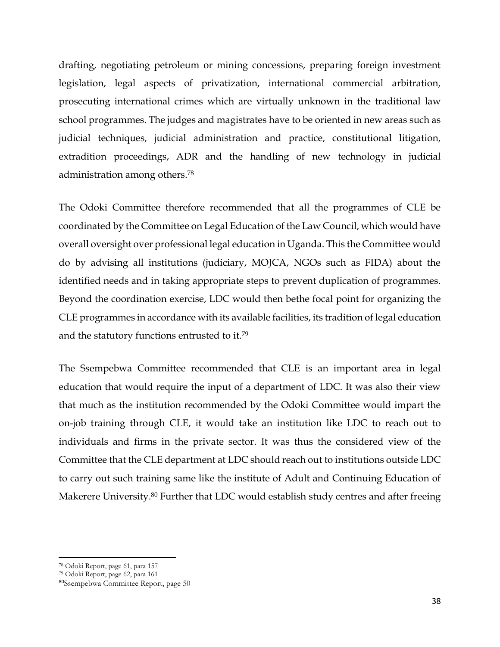drafting, negotiating petroleum or mining concessions, preparing foreign investment legislation, legal aspects of privatization, international commercial arbitration, prosecuting international crimes which are virtually unknown in the traditional law school programmes. The judges and magistrates have to be oriented in new areas such as judicial techniques, judicial administration and practice, constitutional litigation, extradition proceedings, ADR and the handling of new technology in judicial administration among others. 78

The Odoki Committee therefore recommended that all the programmes of CLE be coordinated by the Committee on Legal Education of the Law Council, which would have overall oversight over professional legal education in Uganda. This the Committee would do by advising all institutions (judiciary, MOJCA, NGOs such as FIDA) about the identified needs and in taking appropriate steps to prevent duplication of programmes. Beyond the coordination exercise, LDC would then bethe focal point for organizing the CLE programmes in accordance with its available facilities, its tradition of legal education and the statutory functions entrusted to it.<sup>79</sup>

The Ssempebwa Committee recommended that CLE is an important area in legal education that would require the input of a department of LDC. It was also their view that much as the institution recommended by the Odoki Committee would impart the on-job training through CLE, it would take an institution like LDC to reach out to individuals and firms in the private sector. It was thus the considered view of the Committee that the CLE department at LDC should reach out to institutions outside LDC to carry out such training same like the institute of Adult and Continuing Education of Makerere University.<sup>80</sup> Further that LDC would establish study centres and after freeing

<sup>78</sup> Odoki Report, page 61, para 157

<sup>79</sup> Odoki Report, page 62, para 161

<sup>80</sup>Ssempebwa Committee Report, page 50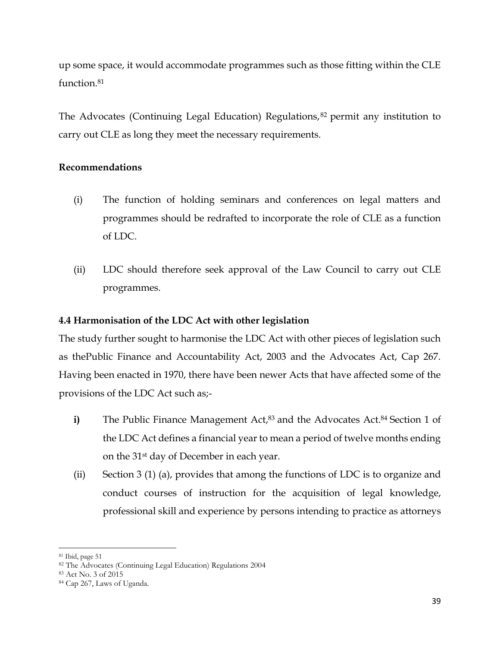up some space, it would accommodate programmes such as those fitting within the CLE function.<sup>81</sup>

The Advocates (Continuing Legal Education) Regulations,<sup>82</sup> permit any institution to carry out CLE as long they meet the necessary requirements.

# **Recommendations**

- (i) The function of holding seminars and conferences on legal matters and programmes should be redrafted to incorporate the role of CLE as a function of LDC.
- (ii) LDC should therefore seek approval of the Law Council to carry out CLE programmes.

# **4.4 Harmonisation of the LDC Act with other legislation**

The study further sought to harmonise the LDC Act with other pieces of legislation such as thePublic Finance and Accountability Act, 2003 and the Advocates Act, Cap 267. Having been enacted in 1970, there have been newer Acts that have affected some of the provisions of the LDC Act such as;-

- **i)** The Public Finance Management Act,<sup>83</sup> and the Advocates Act.<sup>84</sup> Section 1 of the LDC Act defines a financial year to mean a period of twelve months ending on the 31st day of December in each year.
- (ii) Section 3 (1) (a), provides that among the functions of LDC is to organize and conduct courses of instruction for the acquisition of legal knowledge, professional skill and experience by persons intending to practice as attorneys

 $\overline{a}$ <sup>81</sup> Ibid, page 51

<sup>82</sup> The Advocates (Continuing Legal Education) Regulations 2004

<sup>83</sup> Act No. 3 of 2015

<sup>84</sup> Cap 267, Laws of Uganda.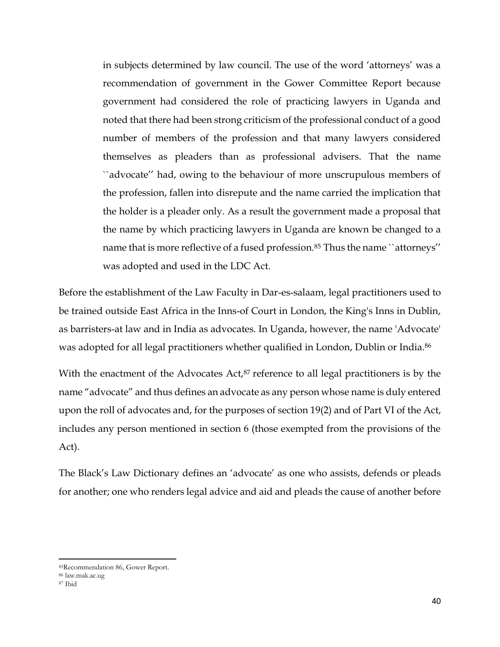in subjects determined by law council. The use of the word 'attorneys' was a recommendation of government in the Gower Committee Report because government had considered the role of practicing lawyers in Uganda and noted that there had been strong criticism of the professional conduct of a good number of members of the profession and that many lawyers considered themselves as pleaders than as professional advisers. That the name ``advocate'' had, owing to the behaviour of more unscrupulous members of the profession, fallen into disrepute and the name carried the implication that the holder is a pleader only. As a result the government made a proposal that the name by which practicing lawyers in Uganda are known be changed to a name that is more reflective of a fused profession.<sup>85</sup> Thus the name ``attorneys'' was adopted and used in the LDC Act.

Before the establishment of the Law Faculty in Dar-es-salaam, legal practitioners used to be trained outside East Africa in the Inns-of Court in London, the King's Inns in Dublin, as barristers-at law and in India as advocates. In Uganda, however, the name 'Advocate' was adopted for all legal practitioners whether qualified in London, Dublin or India.<sup>86</sup>

With the enactment of the Advocates Act,<sup>87</sup> reference to all legal practitioners is by the name "advocate" and thus defines an advocate as any person whose name is duly entered upon the roll of advocates and, for the purposes of section 19(2) and of Part VI of the Act, includes any person mentioned in section 6 (those exempted from the provisions of the Act).

The Black's Law Dictionary defines an 'advocate' as one who assists, defends or pleads for another; one who renders legal advice and aid and pleads the cause of another before

<sup>85</sup>Recommendation 86, Gower Report.

<sup>86</sup> law.mak.ac.ug

<sup>87</sup> Ibid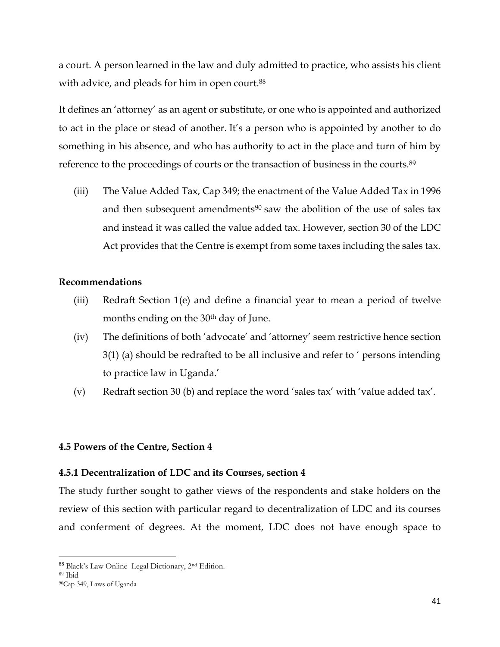a court. A person learned in the law and duly admitted to practice, who assists his client with advice, and pleads for him in open court.<sup>88</sup>

It defines an 'attorney' as an agent or substitute, or one who is appointed and authorized to act in the place or stead of another. It's a person who is appointed by another to do something in his absence, and who has authority to act in the place and turn of him by reference to the proceedings of courts or the transaction of business in the courts.<sup>89</sup>

(iii) The Value Added Tax, Cap 349; the enactment of the Value Added Tax in 1996 and then subsequent amendments<sup>90</sup> saw the abolition of the use of sales tax and instead it was called the value added tax. However, section 30 of the LDC Act provides that the Centre is exempt from some taxes including the sales tax.

### **Recommendations**

- (iii) Redraft Section 1(e) and define a financial year to mean a period of twelve months ending on the 30<sup>th</sup> day of June.
- (iv) The definitions of both 'advocate' and 'attorney' seem restrictive hence section 3(1) (a) should be redrafted to be all inclusive and refer to ' persons intending to practice law in Uganda.'
- (v) Redraft section 30 (b) and replace the word 'sales tax' with 'value added tax'.

### **4.5 Powers of the Centre, Section 4**

### **4.5.1 Decentralization of LDC and its Courses, section 4**

The study further sought to gather views of the respondents and stake holders on the review of this section with particular regard to decentralization of LDC and its courses and conferment of degrees. At the moment, LDC does not have enough space to

<sup>88</sup> Black's Law Online Legal Dictionary, 2nd Edition.

<sup>89</sup> Ibid

<sup>90</sup>Cap 349, Laws of Uganda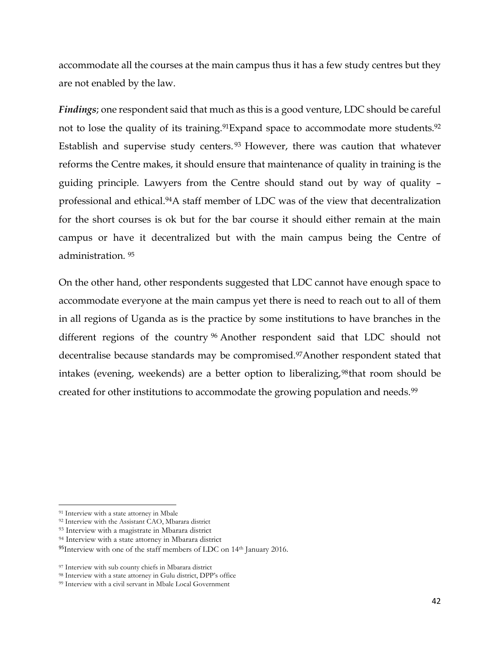accommodate all the courses at the main campus thus it has a few study centres but they are not enabled by the law.

*Findings*; one respondent said that much as this is a good venture, LDC should be careful not to lose the quality of its training.<sup>91</sup>Expand space to accommodate more students.<sup>92</sup> Establish and supervise study centers. <sup>93</sup> However, there was caution that whatever reforms the Centre makes, it should ensure that maintenance of quality in training is the guiding principle. Lawyers from the Centre should stand out by way of quality – professional and ethical.94A staff member of LDC was of the view that decentralization for the short courses is ok but for the bar course it should either remain at the main campus or have it decentralized but with the main campus being the Centre of administration. <sup>95</sup>

On the other hand, other respondents suggested that LDC cannot have enough space to accommodate everyone at the main campus yet there is need to reach out to all of them in all regions of Uganda as is the practice by some institutions to have branches in the different regions of the country <sup>96</sup> Another respondent said that LDC should not decentralise because standards may be compromised.97Another respondent stated that intakes (evening, weekends) are a better option to liberalizing,<sup>98</sup>that room should be created for other institutions to accommodate the growing population and needs.<sup>99</sup>

<sup>91</sup> Interview with a state attorney in Mbale

<sup>92</sup> Interview with the Assistant CAO, Mbarara district

<sup>93</sup> Interview with a magistrate in Mbarara district

<sup>94</sup> Interview with a state attorney in Mbarara district

<sup>95</sup>Interview with one of the staff members of LDC on 14<sup>th</sup> January 2016.

<sup>97</sup> Interview with sub county chiefs in Mbarara district

<sup>98</sup> Interview with a state attorney in Gulu district, DPP's office

<sup>99</sup> Interview with a civil servant in Mbale Local Government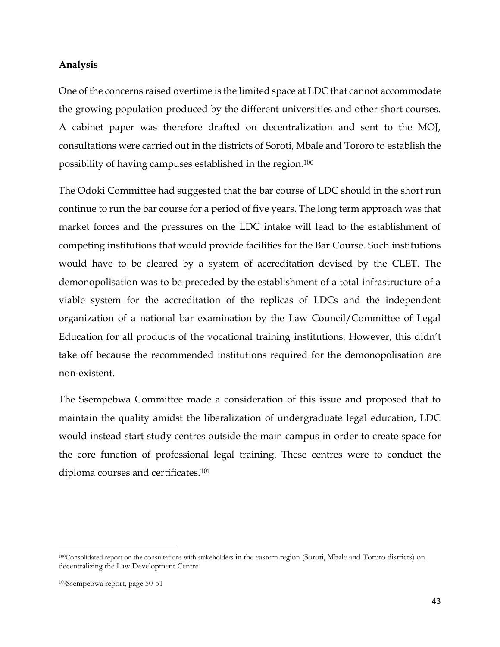#### **Analysis**

One of the concerns raised overtime is the limited space at LDC that cannot accommodate the growing population produced by the different universities and other short courses. A cabinet paper was therefore drafted on decentralization and sent to the MOJ, consultations were carried out in the districts of Soroti, Mbale and Tororo to establish the possibility of having campuses established in the region.<sup>100</sup>

The Odoki Committee had suggested that the bar course of LDC should in the short run continue to run the bar course for a period of five years. The long term approach was that market forces and the pressures on the LDC intake will lead to the establishment of competing institutions that would provide facilities for the Bar Course. Such institutions would have to be cleared by a system of accreditation devised by the CLET. The demonopolisation was to be preceded by the establishment of a total infrastructure of a viable system for the accreditation of the replicas of LDCs and the independent organization of a national bar examination by the Law Council/Committee of Legal Education for all products of the vocational training institutions. However, this didn't take off because the recommended institutions required for the demonopolisation are non-existent.

The Ssempebwa Committee made a consideration of this issue and proposed that to maintain the quality amidst the liberalization of undergraduate legal education, LDC would instead start study centres outside the main campus in order to create space for the core function of professional legal training. These centres were to conduct the diploma courses and certificates.<sup>101</sup>

<sup>100</sup>Consolidated report on the consultations with stakeholders in the eastern region (Soroti, Mbale and Tororo districts) on decentralizing the Law Development Centre

<sup>101</sup>Ssempebwa report, page 50-51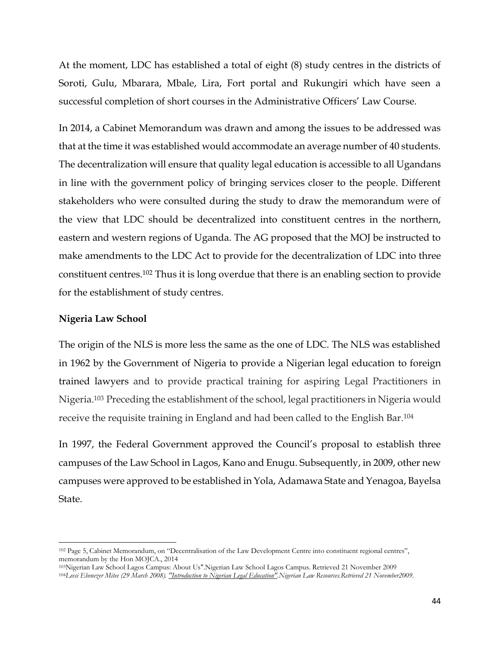At the moment, LDC has established a total of eight (8) study centres in the districts of Soroti, Gulu, Mbarara, Mbale, Lira, Fort portal and Rukungiri which have seen a successful completion of short courses in the Administrative Officers' Law Course.

In 2014, a Cabinet Memorandum was drawn and among the issues to be addressed was that at the time it was established would accommodate an average number of 40 students. The decentralization will ensure that quality legal education is accessible to all Ugandans in line with the government policy of bringing services closer to the people. Different stakeholders who were consulted during the study to draw the memorandum were of the view that LDC should be decentralized into constituent centres in the northern, eastern and western regions of Uganda. The AG proposed that the MOJ be instructed to make amendments to the LDC Act to provide for the decentralization of LDC into three constituent centres.<sup>102</sup> Thus it is long overdue that there is an enabling section to provide for the establishment of study centres.

#### **Nigeria Law School**

l

The origin of the NLS is more less the same as the one of LDC. The NLS was established in 1962 by the Government of Nigeria to provide a Nigerian legal education to foreign trained lawyers and to provide practical training for aspiring Legal Practitioners in Nigeria.<sup>103</sup> Preceding the establishment of the school, legal practitioners in Nigeria would receive the requisite training in England and had been called to the English Bar.<sup>104</sup>

In 1997, the Federal Government approved the Council's proposal to establish three campuses of the Law School in Lagos, Kano and Enugu. Subsequently, in 2009, other new campuses were approved to be established in Yola, Adamawa State and Yenagoa, Bayelsa State.

<sup>102</sup> Page 5, Cabinet Memorandum, on "Decentralisation of the Law Development Centre into constituent regional centres", memorandum by the Hon MOJCA., 2014

<sup>103</sup>[Nigerian Law School Lagos Campus: About Us".N](http://www.lawschoollagos.org/about)igerian Law School Lagos Campus. Retrieved 21 November 2009 <sup>104</sup>*Leesi Ebenezer Mitee (29 March 2008). ["Introduction to Nigerian Legal Education".N](http://nigerianlawresources.com/introduction_to_nigerian_legal_education_leesi_ebenezer_mitee.html)igerian Law Resources.Retrieved 21 November2009.*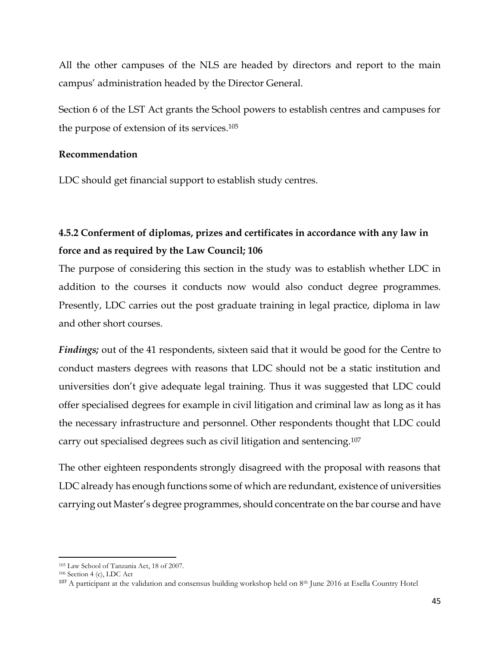All the other campuses of the NLS are headed by directors and report to the main campus' administration headed by the Director General.

Section 6 of the LST Act grants the School powers to establish centres and campuses for the purpose of extension of its services.<sup>105</sup>

#### **Recommendation**

LDC should get financial support to establish study centres.

# **4.5.2 Conferment of diplomas, prizes and certificates in accordance with any law in force and as required by the Law Council; 106**

The purpose of considering this section in the study was to establish whether LDC in addition to the courses it conducts now would also conduct degree programmes. Presently, LDC carries out the post graduate training in legal practice, diploma in law and other short courses.

*Findings;* out of the 41 respondents, sixteen said that it would be good for the Centre to conduct masters degrees with reasons that LDC should not be a static institution and universities don't give adequate legal training. Thus it was suggested that LDC could offer specialised degrees for example in civil litigation and criminal law as long as it has the necessary infrastructure and personnel. Other respondents thought that LDC could carry out specialised degrees such as civil litigation and sentencing.<sup>107</sup>

The other eighteen respondents strongly disagreed with the proposal with reasons that LDC already has enough functions some of which are redundant, existence of universities carrying out Master's degree programmes, should concentrate on the bar course and have

<sup>105</sup> Law School of Tanzania Act, 18 of 2007.

<sup>106</sup> Section 4 (c), LDC Act

 $107$  A participant at the validation and consensus building workshop held on  $8<sup>th</sup>$  June 2016 at Esella Country Hotel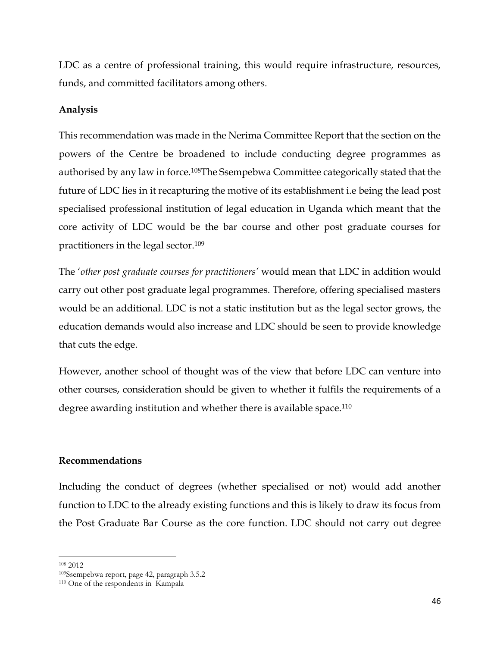LDC as a centre of professional training, this would require infrastructure, resources, funds, and committed facilitators among others.

#### **Analysis**

This recommendation was made in the Nerima Committee Report that the section on the powers of the Centre be broadened to include conducting degree programmes as authorised by any law in force.108The Ssempebwa Committee categorically stated that the future of LDC lies in it recapturing the motive of its establishment i.e being the lead post specialised professional institution of legal education in Uganda which meant that the core activity of LDC would be the bar course and other post graduate courses for practitioners in the legal sector.<sup>109</sup>

The '*other post graduate courses for practitioners'* would mean that LDC in addition would carry out other post graduate legal programmes. Therefore, offering specialised masters would be an additional. LDC is not a static institution but as the legal sector grows, the education demands would also increase and LDC should be seen to provide knowledge that cuts the edge.

However, another school of thought was of the view that before LDC can venture into other courses, consideration should be given to whether it fulfils the requirements of a degree awarding institution and whether there is available space.<sup>110</sup>

#### **Recommendations**

Including the conduct of degrees (whether specialised or not) would add another function to LDC to the already existing functions and this is likely to draw its focus from the Post Graduate Bar Course as the core function. LDC should not carry out degree

<sup>108</sup> 2012

<sup>109</sup>Ssempebwa report, page 42, paragraph 3.5.2

<sup>110</sup> One of the respondents in Kampala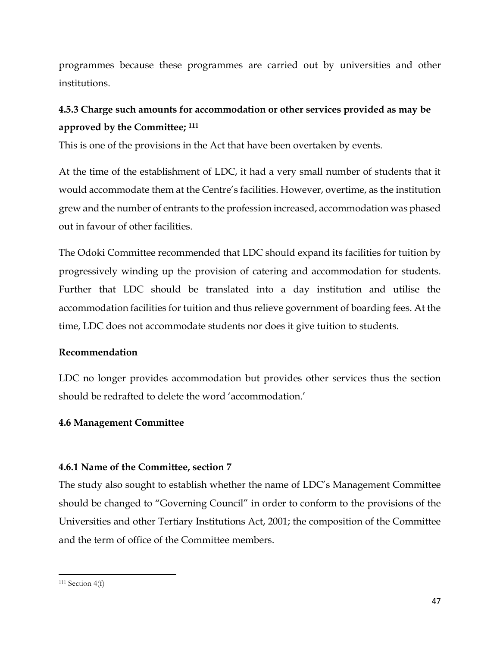programmes because these programmes are carried out by universities and other institutions.

# **4.5.3 Charge such amounts for accommodation or other services provided as may be approved by the Committee; <sup>111</sup>**

This is one of the provisions in the Act that have been overtaken by events.

At the time of the establishment of LDC, it had a very small number of students that it would accommodate them at the Centre's facilities. However, overtime, as the institution grew and the number of entrants to the profession increased, accommodation was phased out in favour of other facilities.

The Odoki Committee recommended that LDC should expand its facilities for tuition by progressively winding up the provision of catering and accommodation for students. Further that LDC should be translated into a day institution and utilise the accommodation facilities for tuition and thus relieve government of boarding fees. At the time, LDC does not accommodate students nor does it give tuition to students.

# **Recommendation**

LDC no longer provides accommodation but provides other services thus the section should be redrafted to delete the word 'accommodation.'

# **4.6 Management Committee**

# **4.6.1 Name of the Committee, section 7**

The study also sought to establish whether the name of LDC's Management Committee should be changed to "Governing Council" in order to conform to the provisions of the Universities and other Tertiary Institutions Act, 2001; the composition of the Committee and the term of office of the Committee members.

 $\overline{a}$ 

 $111$  Section  $4(f)$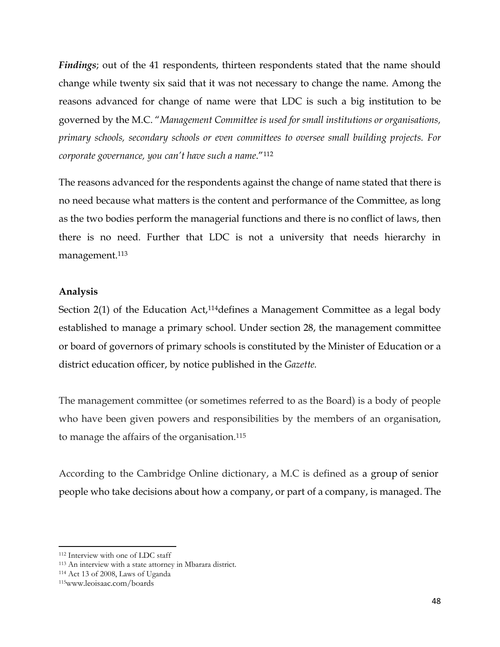*Findings*; out of the 41 respondents, thirteen respondents stated that the name should change while twenty six said that it was not necessary to change the name. Among the reasons advanced for change of name were that LDC is such a big institution to be governed by the M.C. "*Management Committee is used for small institutions or organisations, primary schools, secondary schools or even committees to oversee small building projects. For corporate governance, you can't have such a name*."<sup>112</sup>

The reasons advanced for the respondents against the change of name stated that there is no need because what matters is the content and performance of the Committee, as long as the two bodies perform the managerial functions and there is no conflict of laws, then there is no need. Further that LDC is not a university that needs hierarchy in management.<sup>113</sup>

### **Analysis**

Section 2(1) of the Education Act,<sup>114</sup>defines a Management Committee as a legal body established to manage a primary school. Under section 28, the management committee or board of governors of primary schools is constituted by the Minister of Education or a district education officer, by notice published in the *Gazette.*

The management committee (or sometimes referred to as the Board) is a body of people who have been given powers and responsibilities by the members of an organisation, to manage the affairs of the organisation.<sup>115</sup>

According to the Cambridge Online dictionary, a M.C is defined as a [group](http://dictionary.cambridge.org/dictionary/english/group) of [senior](http://dictionary.cambridge.org/dictionary/english/senior) people who take decisions about how a [company,](http://dictionary.cambridge.org/dictionary/english/company) or [part](http://dictionary.cambridge.org/dictionary/english/part) of a [company,](http://dictionary.cambridge.org/dictionary/english/company) is [managed.](http://dictionary.cambridge.org/dictionary/english/manage) The

<sup>112</sup> Interview with one of LDC staff

<sup>113</sup> An interview with a state attorney in Mbarara district.

<sup>114</sup> Act 13 of 2008, Laws of Uganda

<sup>115</sup>www.leoisaac.com/boards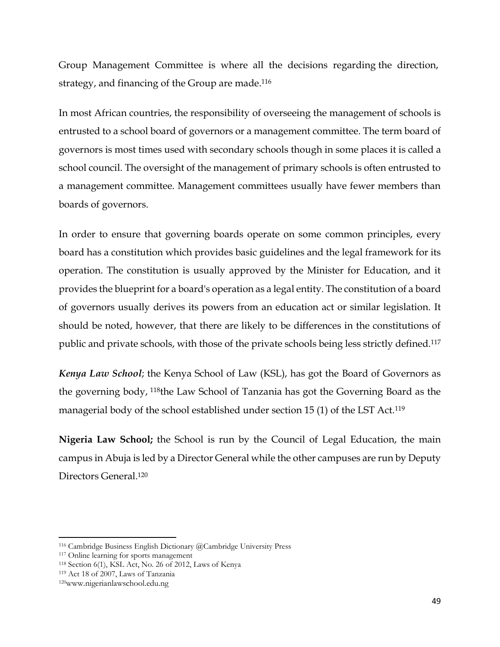Group Management Committee is where all the decisions [regarding](http://dictionary.cambridge.org/dictionary/english/regarding) the direction, [strategy,](http://dictionary.cambridge.org/dictionary/english/strategy) and [financing](http://dictionary.cambridge.org/dictionary/english/financing) of the Group are made. 116

In most African countries, the responsibility of overseeing the management of schools is entrusted to a school board of governors or a management committee. The term board of governors is most times used with secondary schools though in some places it is called a school council. The oversight of the management of primary schools is often entrusted to a management committee. Management committees usually have fewer members than boards of governors.

In order to ensure that governing boards operate on some common principles, every board has a constitution which provides basic guidelines and the legal framework for its operation. The constitution is usually approved by the Minister for Education, and it provides the blueprint for a board's operation as a legal entity. The constitution of a board of governors usually derives its powers from an education act or similar legislation. It should be noted, however, that there are likely to be differences in the constitutions of public and private schools, with those of the private schools being less strictly defined.<sup>117</sup>

*Kenya Law School*; the Kenya School of Law (KSL), has got the Board of Governors as the governing body, 118the Law School of Tanzania has got the Governing Board as the managerial body of the school established under section 15 (1) of the LST Act.<sup>119</sup>

**Nigeria Law School;** the School is run by the Council of Legal Education, the main campus in Abuja is led by a Director General while the other campuses are run by Deputy Directors General.<sup>120</sup>

<sup>116</sup> Cambridge Business English Dictionary @Cambridge University Press

<sup>117</sup> Online learning for sports management

<sup>118</sup> Section 6(1), KSL Act, No. 26 of 2012, Laws of Kenya

<sup>119</sup> Act 18 of 2007, Laws of Tanzania

<sup>120</sup>www.nigerianlawschool.edu.ng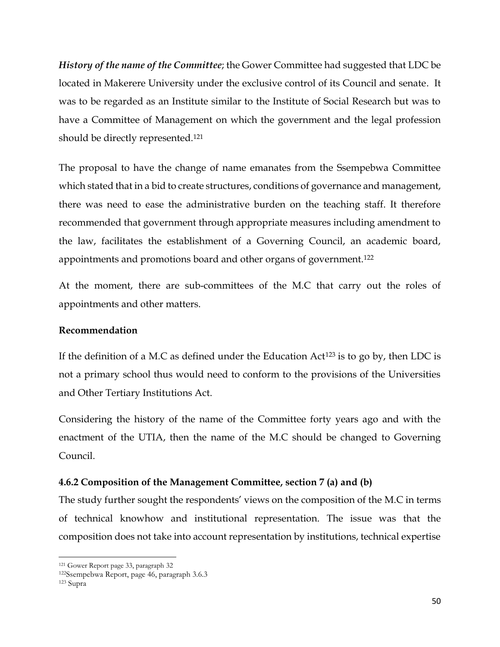*History of the name of the Committee*; the Gower Committee had suggested that LDC be located in Makerere University under the exclusive control of its Council and senate. It was to be regarded as an Institute similar to the Institute of Social Research but was to have a Committee of Management on which the government and the legal profession should be directly represented.<sup>121</sup>

The proposal to have the change of name emanates from the Ssempebwa Committee which stated that in a bid to create structures, conditions of governance and management, there was need to ease the administrative burden on the teaching staff. It therefore recommended that government through appropriate measures including amendment to the law, facilitates the establishment of a Governing Council, an academic board, appointments and promotions board and other organs of government.<sup>122</sup>

At the moment, there are sub-committees of the M.C that carry out the roles of appointments and other matters.

### **Recommendation**

If the definition of a M.C as defined under the Education  $Act^{123}$  is to go by, then LDC is not a primary school thus would need to conform to the provisions of the Universities and Other Tertiary Institutions Act.

Considering the history of the name of the Committee forty years ago and with the enactment of the UTIA, then the name of the M.C should be changed to Governing Council.

# **4.6.2 Composition of the Management Committee, section 7 (a) and (b)**

The study further sought the respondents' views on the composition of the M.C in terms of technical knowhow and institutional representation. The issue was that the composition does not take into account representation by institutions, technical expertise

l <sup>121</sup> Gower Report page 33, paragraph 32

<sup>122</sup>Ssempebwa Report, page 46, paragraph 3.6.3

<sup>123</sup> Supra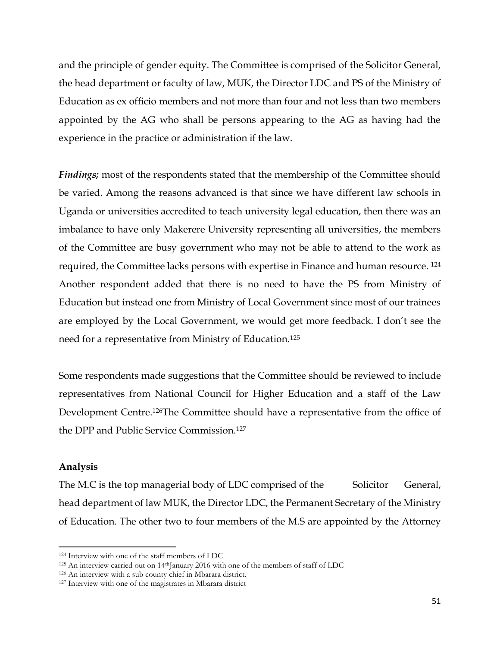and the principle of gender equity. The Committee is comprised of the Solicitor General, the head department or faculty of law, MUK, the Director LDC and PS of the Ministry of Education as ex officio members and not more than four and not less than two members appointed by the AG who shall be persons appearing to the AG as having had the experience in the practice or administration if the law.

*Findings;* most of the respondents stated that the membership of the Committee should be varied. Among the reasons advanced is that since we have different law schools in Uganda or universities accredited to teach university legal education, then there was an imbalance to have only Makerere University representing all universities, the members of the Committee are busy government who may not be able to attend to the work as required, the Committee lacks persons with expertise in Finance and human resource. 124 Another respondent added that there is no need to have the PS from Ministry of Education but instead one from Ministry of Local Government since most of our trainees are employed by the Local Government, we would get more feedback. I don't see the need for a representative from Ministry of Education.<sup>125</sup>

Some respondents made suggestions that the Committee should be reviewed to include representatives from National Council for Higher Education and a staff of the Law Development Centre.126The Committee should have a representative from the office of the DPP and Public Service Commission.<sup>127</sup>

### **Analysis**

l

The M.C is the top managerial body of LDC comprised of the Solicitor General, head department of law MUK, the Director LDC, the Permanent Secretary of the Ministry of Education. The other two to four members of the M.S are appointed by the Attorney

<sup>124</sup> Interview with one of the staff members of LDC

<sup>125</sup> An interview carried out on 14<sup>th</sup>January 2016 with one of the members of staff of LDC

<sup>126</sup> An interview with a sub county chief in Mbarara district.

<sup>127</sup> Interview with one of the magistrates in Mbarara district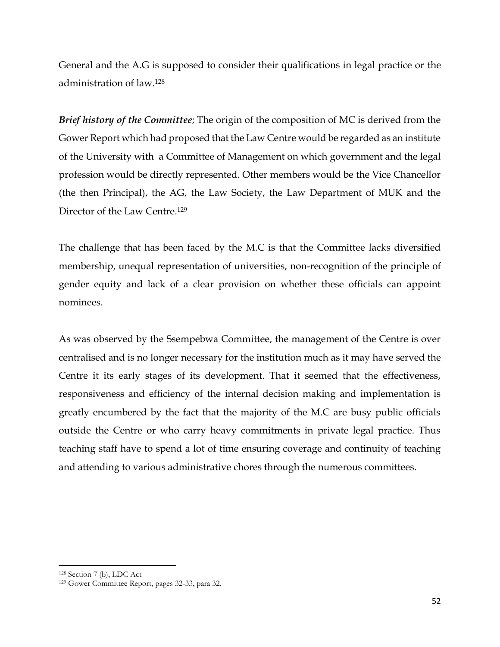General and the A.G is supposed to consider their qualifications in legal practice or the administration of law.<sup>128</sup>

*Brief history of the Committee*; The origin of the composition of MC is derived from the Gower Report which had proposed that the Law Centre would be regarded as an institute of the University with a Committee of Management on which government and the legal profession would be directly represented. Other members would be the Vice Chancellor (the then Principal), the AG, the Law Society, the Law Department of MUK and the Director of the Law Centre.<sup>129</sup>

The challenge that has been faced by the M.C is that the Committee lacks diversified membership, unequal representation of universities, non-recognition of the principle of gender equity and lack of a clear provision on whether these officials can appoint nominees.

As was observed by the Ssempebwa Committee, the management of the Centre is over centralised and is no longer necessary for the institution much as it may have served the Centre it its early stages of its development. That it seemed that the effectiveness, responsiveness and efficiency of the internal decision making and implementation is greatly encumbered by the fact that the majority of the M.C are busy public officials outside the Centre or who carry heavy commitments in private legal practice. Thus teaching staff have to spend a lot of time ensuring coverage and continuity of teaching and attending to various administrative chores through the numerous committees.

<sup>128</sup> Section 7 (b), LDC Act

<sup>129</sup> Gower Committee Report, pages 32-33, para 32.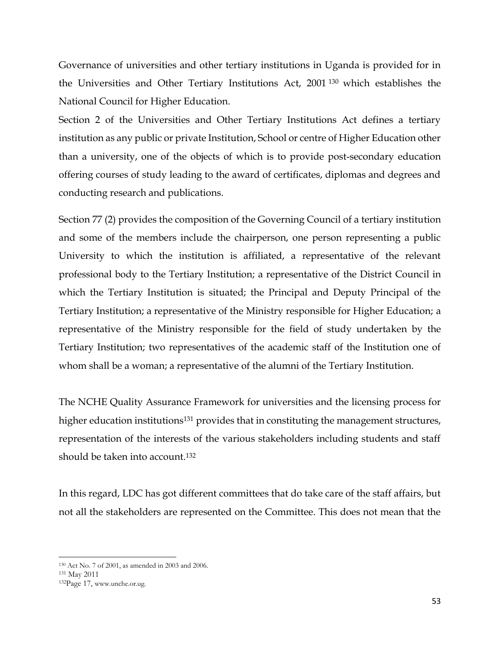Governance of universities and other tertiary institutions in Uganda is provided for in the Universities and Other Tertiary Institutions Act, 2001 <sup>130</sup> which establishes the National Council for Higher Education.

Section 2 of the Universities and Other Tertiary Institutions Act defines a tertiary institution as any public or private Institution, School or centre of Higher Education other than a university, one of the objects of which is to provide post-secondary education offering courses of study leading to the award of certificates, diplomas and degrees and conducting research and publications.

Section 77 (2) provides the composition of the Governing Council of a tertiary institution and some of the members include the chairperson, one person representing a public University to which the institution is affiliated, a representative of the relevant professional body to the Tertiary Institution; a representative of the District Council in which the Tertiary Institution is situated; the Principal and Deputy Principal of the Tertiary Institution; a representative of the Ministry responsible for Higher Education; a representative of the Ministry responsible for the field of study undertaken by the Tertiary Institution; two representatives of the academic staff of the Institution one of whom shall be a woman; a representative of the alumni of the Tertiary Institution.

The NCHE Quality Assurance Framework for universities and the licensing process for higher education institutions<sup>131</sup> provides that in constituting the management structures, representation of the interests of the various stakeholders including students and staff should be taken into account.<sup>132</sup>

In this regard, LDC has got different committees that do take care of the staff affairs, but not all the stakeholders are represented on the Committee. This does not mean that the

<sup>130</sup> Act No. 7 of 2001, as amended in 2003 and 2006.

<sup>131</sup> May 2011

<sup>132</sup>Page 17, www.unche.or.ug.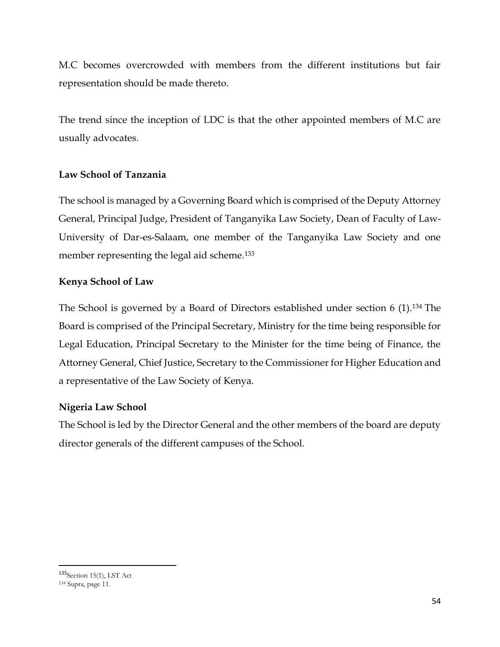M.C becomes overcrowded with members from the different institutions but fair representation should be made thereto.

The trend since the inception of LDC is that the other appointed members of M.C are usually advocates.

# **Law School of Tanzania**

The school is managed by a Governing Board which is comprised of the Deputy Attorney General, Principal Judge, President of Tanganyika Law Society, Dean of Faculty of Law-University of Dar-es-Salaam, one member of the Tanganyika Law Society and one member representing the legal aid scheme.<sup>133</sup>

# **Kenya School of Law**

The School is governed by a Board of Directors established under section 6 (1).<sup>134</sup> The Board is comprised of the Principal Secretary, Ministry for the time being responsible for Legal Education, Principal Secretary to the Minister for the time being of Finance, the Attorney General, Chief Justice, Secretary to the Commissioner for Higher Education and a representative of the Law Society of Kenya.

# **Nigeria Law School**

The School is led by the Director General and the other members of the board are deputy director generals of the different campuses of the School.

<sup>133</sup> Section 15(1), LST Act <sup>134</sup> Supra, page 11.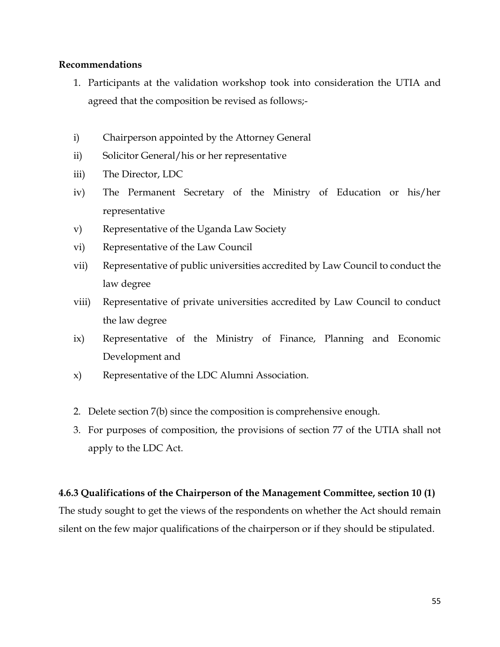### **Recommendations**

- 1. Participants at the validation workshop took into consideration the UTIA and agreed that the composition be revised as follows;-
- i) Chairperson appointed by the Attorney General
- ii) Solicitor General/his or her representative
- iii) The Director, LDC
- iv) The Permanent Secretary of the Ministry of Education or his/her representative
- v) Representative of the Uganda Law Society
- vi) Representative of the Law Council
- vii) Representative of public universities accredited by Law Council to conduct the law degree
- viii) Representative of private universities accredited by Law Council to conduct the law degree
- ix) Representative of the Ministry of Finance, Planning and Economic Development and
- x) Representative of the LDC Alumni Association.
- 2. Delete section 7(b) since the composition is comprehensive enough.
- 3. For purposes of composition, the provisions of section 77 of the UTIA shall not apply to the LDC Act.

### **4.6.3 Qualifications of the Chairperson of the Management Committee, section 10 (1)**

The study sought to get the views of the respondents on whether the Act should remain silent on the few major qualifications of the chairperson or if they should be stipulated.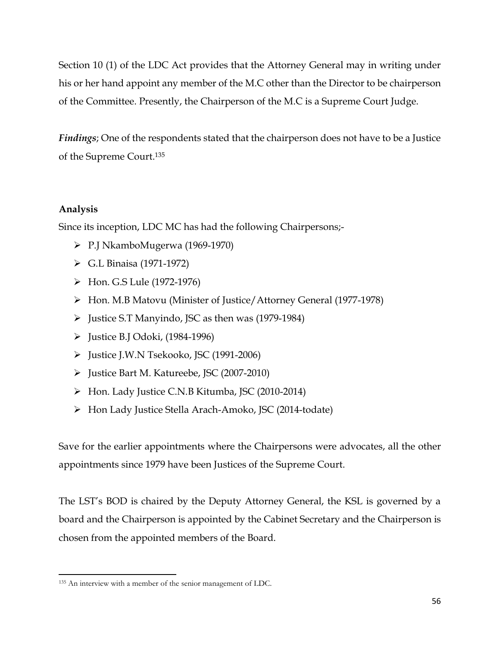Section 10 (1) of the LDC Act provides that the Attorney General may in writing under his or her hand appoint any member of the M.C other than the Director to be chairperson of the Committee. Presently, the Chairperson of the M.C is a Supreme Court Judge.

*Findings*; One of the respondents stated that the chairperson does not have to be a Justice of the Supreme Court. 135

# **Analysis**

Since its inception, LDC MC has had the following Chairpersons;-

- P.J NkamboMugerwa (1969-1970)
- G.L Binaisa (1971-1972)
- Hon. G.S Lule (1972-1976)
- Hon. M.B Matovu (Minister of Justice/Attorney General (1977-1978)
- $\triangleright$  Justice S.T Manyindo, JSC as then was (1979-1984)
- $\triangleright$  Justice B.J Odoki, (1984-1996)
- Justice J.W.N Tsekooko, JSC (1991-2006)
- Justice Bart M. Katureebe, JSC (2007-2010)
- Hon. Lady Justice C.N.B Kitumba, JSC (2010-2014)
- Hon Lady Justice Stella Arach-Amoko, JSC (2014-todate)

Save for the earlier appointments where the Chairpersons were advocates, all the other appointments since 1979 have been Justices of the Supreme Court.

The LST's BOD is chaired by the Deputy Attorney General, the KSL is governed by a board and the Chairperson is appointed by the Cabinet Secretary and the Chairperson is chosen from the appointed members of the Board.

 $\overline{a}$ <sup>135</sup> An interview with a member of the senior management of LDC.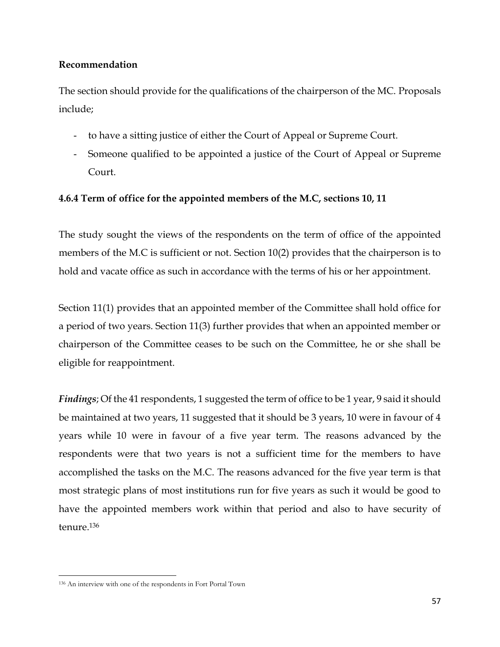### **Recommendation**

The section should provide for the qualifications of the chairperson of the MC. Proposals include;

- to have a sitting justice of either the Court of Appeal or Supreme Court.
- Someone qualified to be appointed a justice of the Court of Appeal or Supreme Court.

# **4.6.4 Term of office for the appointed members of the M.C, sections 10, 11**

The study sought the views of the respondents on the term of office of the appointed members of the M.C is sufficient or not. Section 10(2) provides that the chairperson is to hold and vacate office as such in accordance with the terms of his or her appointment.

Section 11(1) provides that an appointed member of the Committee shall hold office for a period of two years. Section 11(3) further provides that when an appointed member or chairperson of the Committee ceases to be such on the Committee, he or she shall be eligible for reappointment.

*Findings*; Of the 41 respondents, 1 suggested the term of office to be 1 year, 9 said it should be maintained at two years, 11 suggested that it should be 3 years, 10 were in favour of 4 years while 10 were in favour of a five year term. The reasons advanced by the respondents were that two years is not a sufficient time for the members to have accomplished the tasks on the M.C. The reasons advanced for the five year term is that most strategic plans of most institutions run for five years as such it would be good to have the appointed members work within that period and also to have security of tenure.<sup>136</sup>

<sup>136</sup> An interview with one of the respondents in Fort Portal Town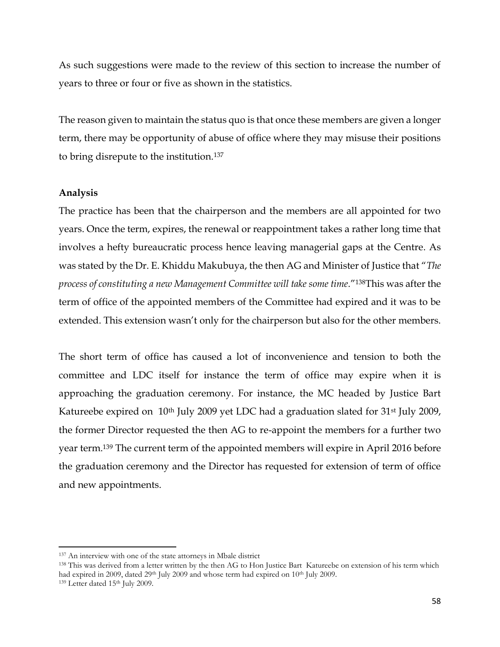As such suggestions were made to the review of this section to increase the number of years to three or four or five as shown in the statistics.

The reason given to maintain the status quo is that once these members are given a longer term, there may be opportunity of abuse of office where they may misuse their positions to bring disrepute to the institution.<sup>137</sup>

#### **Analysis**

The practice has been that the chairperson and the members are all appointed for two years. Once the term, expires, the renewal or reappointment takes a rather long time that involves a hefty bureaucratic process hence leaving managerial gaps at the Centre. As was stated by the Dr. E. Khiddu Makubuya, the then AG and Minister of Justice that "*The process of constituting a new Management Committee will take some time*."138This was after the term of office of the appointed members of the Committee had expired and it was to be extended. This extension wasn't only for the chairperson but also for the other members.

The short term of office has caused a lot of inconvenience and tension to both the committee and LDC itself for instance the term of office may expire when it is approaching the graduation ceremony. For instance, the MC headed by Justice Bart Katureebe expired on 10<sup>th</sup> July 2009 yet LDC had a graduation slated for 31<sup>st</sup> July 2009, the former Director requested the then AG to re-appoint the members for a further two year term.<sup>139</sup> The current term of the appointed members will expire in April 2016 before the graduation ceremony and the Director has requested for extension of term of office and new appointments.

<sup>137</sup> An interview with one of the state attorneys in Mbale district

<sup>138</sup> This was derived from a letter written by the then AG to Hon Justice Bart Katureebe on extension of his term which had expired in 2009, dated 29<sup>th</sup> July 2009 and whose term had expired on 10<sup>th</sup> July 2009.

<sup>139</sup> Letter dated 15th July 2009.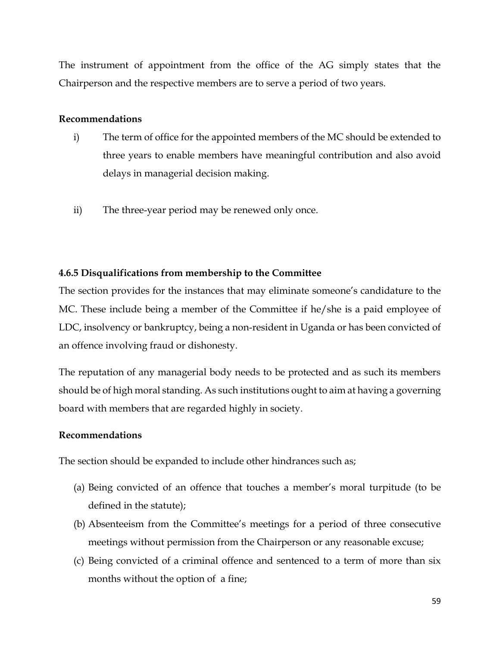The instrument of appointment from the office of the AG simply states that the Chairperson and the respective members are to serve a period of two years.

### **Recommendations**

- i) The term of office for the appointed members of the MC should be extended to three years to enable members have meaningful contribution and also avoid delays in managerial decision making.
- ii) The three-year period may be renewed only once.

# **4.6.5 Disqualifications from membership to the Committee**

The section provides for the instances that may eliminate someone's candidature to the MC. These include being a member of the Committee if he/she is a paid employee of LDC, insolvency or bankruptcy, being a non-resident in Uganda or has been convicted of an offence involving fraud or dishonesty.

The reputation of any managerial body needs to be protected and as such its members should be of high moral standing. As such institutions ought to aim at having a governing board with members that are regarded highly in society.

### **Recommendations**

The section should be expanded to include other hindrances such as;

- (a) Being convicted of an offence that touches a member's moral turpitude (to be defined in the statute);
- (b) Absenteeism from the Committee's meetings for a period of three consecutive meetings without permission from the Chairperson or any reasonable excuse;
- (c) Being convicted of a criminal offence and sentenced to a term of more than six months without the option of a fine;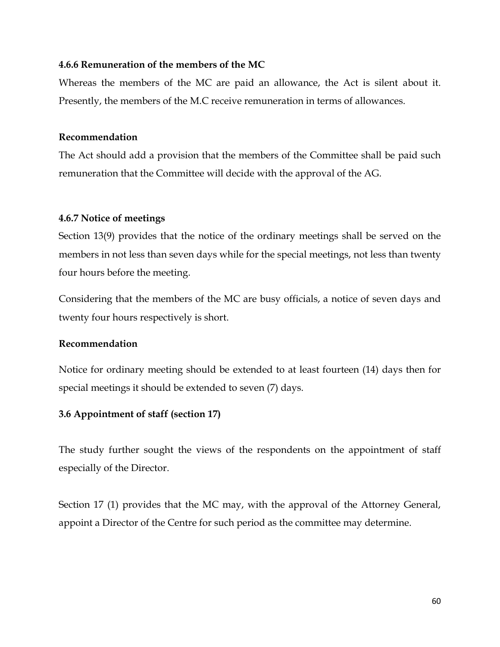### **4.6.6 Remuneration of the members of the MC**

Whereas the members of the MC are paid an allowance, the Act is silent about it. Presently, the members of the M.C receive remuneration in terms of allowances.

### **Recommendation**

The Act should add a provision that the members of the Committee shall be paid such remuneration that the Committee will decide with the approval of the AG.

### **4.6.7 Notice of meetings**

Section 13(9) provides that the notice of the ordinary meetings shall be served on the members in not less than seven days while for the special meetings, not less than twenty four hours before the meeting.

Considering that the members of the MC are busy officials, a notice of seven days and twenty four hours respectively is short.

### **Recommendation**

Notice for ordinary meeting should be extended to at least fourteen (14) days then for special meetings it should be extended to seven (7) days.

### **3.6 Appointment of staff (section 17)**

The study further sought the views of the respondents on the appointment of staff especially of the Director.

Section 17 (1) provides that the MC may, with the approval of the Attorney General, appoint a Director of the Centre for such period as the committee may determine.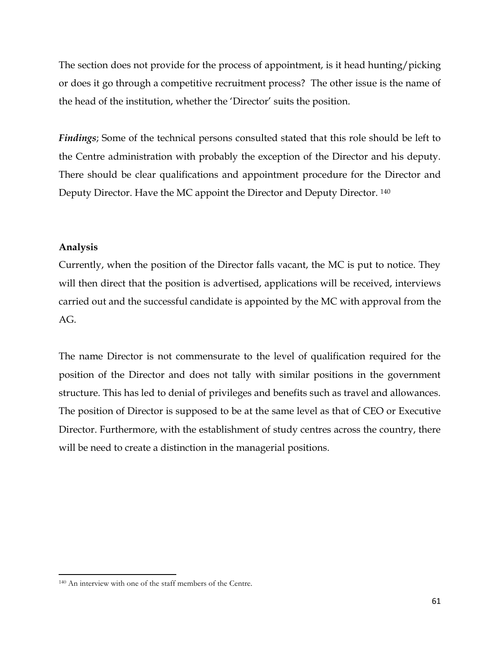The section does not provide for the process of appointment, is it head hunting/picking or does it go through a competitive recruitment process? The other issue is the name of the head of the institution, whether the 'Director' suits the position.

*Findings*; Some of the technical persons consulted stated that this role should be left to the Centre administration with probably the exception of the Director and his deputy. There should be clear qualifications and appointment procedure for the Director and Deputy Director. Have the MC appoint the Director and Deputy Director. <sup>140</sup>

### **Analysis**

 $\overline{a}$ 

Currently, when the position of the Director falls vacant, the MC is put to notice. They will then direct that the position is advertised, applications will be received, interviews carried out and the successful candidate is appointed by the MC with approval from the AG.

The name Director is not commensurate to the level of qualification required for the position of the Director and does not tally with similar positions in the government structure. This has led to denial of privileges and benefits such as travel and allowances. The position of Director is supposed to be at the same level as that of CEO or Executive Director. Furthermore, with the establishment of study centres across the country, there will be need to create a distinction in the managerial positions.

<sup>140</sup> An interview with one of the staff members of the Centre.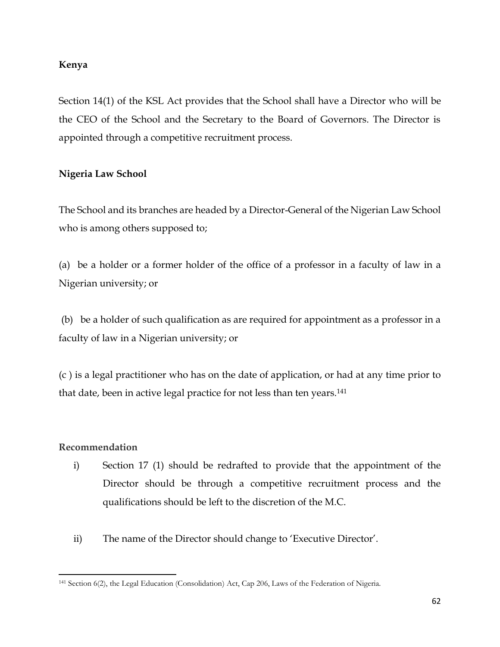### **Kenya**

Section 14(1) of the KSL Act provides that the School shall have a Director who will be the CEO of the School and the Secretary to the Board of Governors. The Director is appointed through a competitive recruitment process.

# **Nigeria Law School**

The School and its branches are headed by a Director-General of the Nigerian Law School who is among others supposed to;

(a) be a holder or a former holder of the office of a professor in a faculty of law in a Nigerian university; or

(b) be a holder of such qualification as are required for appointment as a professor in a faculty of law in a Nigerian university; or

(c ) is a legal practitioner who has on the date of application, or had at any time prior to that date, been in active legal practice for not less than ten years.<sup>141</sup>

### **Recommendation**

- i) Section 17 (1) should be redrafted to provide that the appointment of the Director should be through a competitive recruitment process and the qualifications should be left to the discretion of the M.C.
- ii) The name of the Director should change to 'Executive Director'.

 $\overline{a}$ <sup>141</sup> Section 6(2), the Legal Education (Consolidation) Act, Cap 206, Laws of the Federation of Nigeria.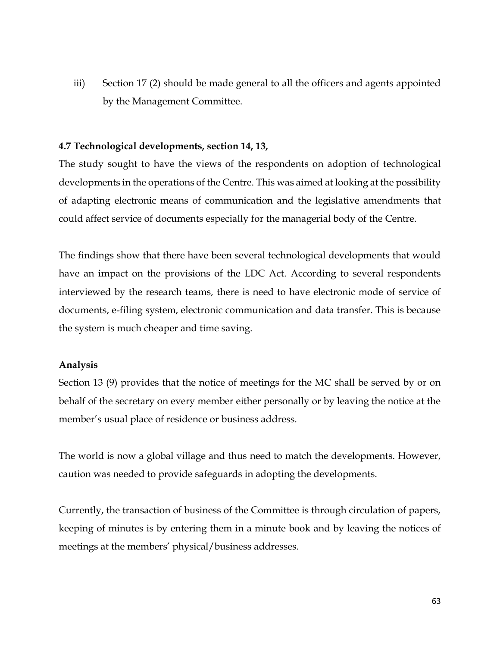iii) Section 17 (2) should be made general to all the officers and agents appointed by the Management Committee.

#### **4.7 Technological developments, section 14, 13,**

The study sought to have the views of the respondents on adoption of technological developments in the operations of the Centre. This was aimed at looking at the possibility of adapting electronic means of communication and the legislative amendments that could affect service of documents especially for the managerial body of the Centre.

The findings show that there have been several technological developments that would have an impact on the provisions of the LDC Act. According to several respondents interviewed by the research teams, there is need to have electronic mode of service of documents, e-filing system, electronic communication and data transfer. This is because the system is much cheaper and time saving.

#### **Analysis**

Section 13 (9) provides that the notice of meetings for the MC shall be served by or on behalf of the secretary on every member either personally or by leaving the notice at the member's usual place of residence or business address.

The world is now a global village and thus need to match the developments. However, caution was needed to provide safeguards in adopting the developments.

Currently, the transaction of business of the Committee is through circulation of papers, keeping of minutes is by entering them in a minute book and by leaving the notices of meetings at the members' physical/business addresses.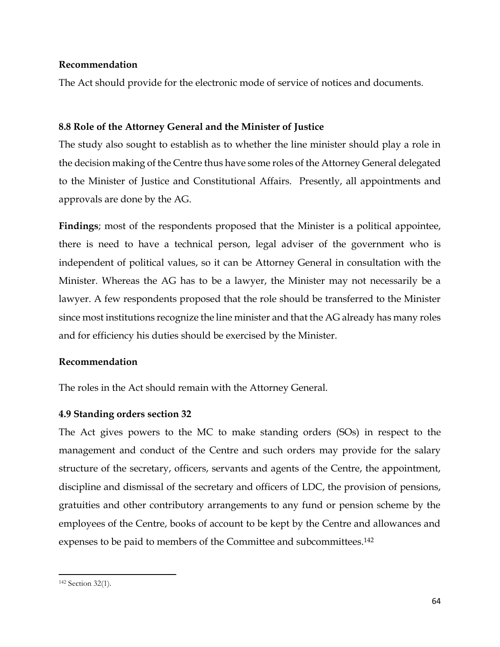### **Recommendation**

The Act should provide for the electronic mode of service of notices and documents.

## **8.8 Role of the Attorney General and the Minister of Justice**

The study also sought to establish as to whether the line minister should play a role in the decision making of the Centre thus have some roles of the Attorney General delegated to the Minister of Justice and Constitutional Affairs. Presently, all appointments and approvals are done by the AG.

**Findings**; most of the respondents proposed that the Minister is a political appointee, there is need to have a technical person, legal adviser of the government who is independent of political values, so it can be Attorney General in consultation with the Minister. Whereas the AG has to be a lawyer, the Minister may not necessarily be a lawyer. A few respondents proposed that the role should be transferred to the Minister since most institutions recognize the line minister and that the AG already has many roles and for efficiency his duties should be exercised by the Minister.

### **Recommendation**

The roles in the Act should remain with the Attorney General.

### **4.9 Standing orders section 32**

The Act gives powers to the MC to make standing orders (SOs) in respect to the management and conduct of the Centre and such orders may provide for the salary structure of the secretary, officers, servants and agents of the Centre, the appointment, discipline and dismissal of the secretary and officers of LDC, the provision of pensions, gratuities and other contributory arrangements to any fund or pension scheme by the employees of the Centre, books of account to be kept by the Centre and allowances and expenses to be paid to members of the Committee and subcommittees.<sup>142</sup>

 $\overline{a}$ <sup>142</sup> Section 32(1).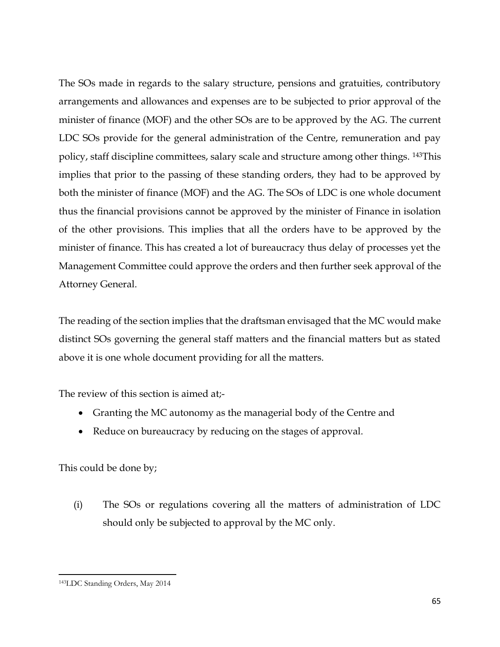The SOs made in regards to the salary structure, pensions and gratuities, contributory arrangements and allowances and expenses are to be subjected to prior approval of the minister of finance (MOF) and the other SOs are to be approved by the AG. The current LDC SOs provide for the general administration of the Centre, remuneration and pay policy, staff discipline committees, salary scale and structure among other things. 143This implies that prior to the passing of these standing orders, they had to be approved by both the minister of finance (MOF) and the AG. The SOs of LDC is one whole document thus the financial provisions cannot be approved by the minister of Finance in isolation of the other provisions. This implies that all the orders have to be approved by the minister of finance. This has created a lot of bureaucracy thus delay of processes yet the Management Committee could approve the orders and then further seek approval of the Attorney General.

The reading of the section implies that the draftsman envisaged that the MC would make distinct SOs governing the general staff matters and the financial matters but as stated above it is one whole document providing for all the matters.

The review of this section is aimed at;-

- Granting the MC autonomy as the managerial body of the Centre and
- Reduce on bureaucracy by reducing on the stages of approval.

This could be done by;

(i) The SOs or regulations covering all the matters of administration of LDC should only be subjected to approval by the MC only.

 $\overline{a}$ 

<sup>143</sup>LDC Standing Orders, May 2014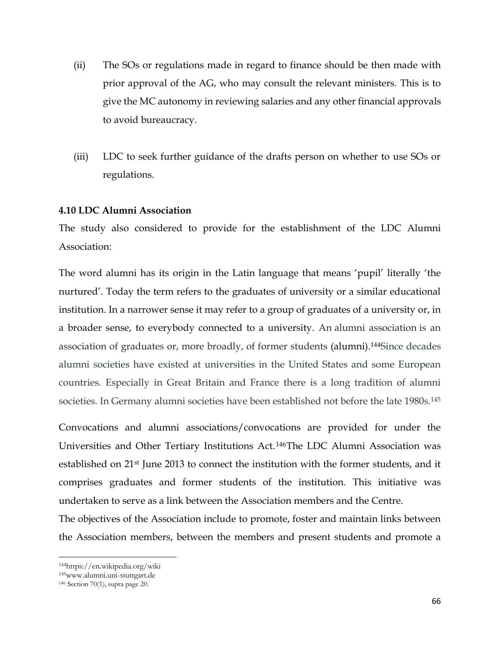- (ii) The SOs or regulations made in regard to finance should be then made with prior approval of the AG, who may consult the relevant ministers. This is to give the MC autonomy in reviewing salaries and any other financial approvals to avoid bureaucracy.
- (iii) LDC to seek further guidance of the drafts person on whether to use SOs or regulations.

#### **4.10 LDC Alumni Association**

The study also considered to provide for the establishment of the LDC Alumni Association:

The word alumni has its origin in the Latin language that means 'pupil' literally 'the nurtured'. Today the term refers to the graduates of university or a similar educational institution. In a narrower sense it may refer to a group of graduates of a university or, in a broader sense, to everybody connected to a university. An alumni association is an association of graduates or, more broadly, of former students [\(alumni\)](https://en.wikipedia.org/wiki/Alumnus).144Since decades alumni societies have existed at universities in the United States and some European countries. Especially in Great Britain and France there is a long tradition of alumni societies. In Germany alumni societies have been established not before the late 1980s.<sup>145</sup>

Convocations and alumni associations/convocations are provided for under the Universities and Other Tertiary Institutions Act. <sup>146</sup>The LDC Alumni Association was established on 21st June 2013 to connect the institution with the former students, and it comprises graduates and former students of the institution. This initiative was undertaken to serve as a link between the Association members and the Centre.

The objectives of the Association include to promote, foster and maintain links between the Association members, between the members and present students and promote a

l

<sup>144</sup>https://en.wikipedia.org/wiki

<sup>145</sup>www.alumni.uni-stuttgart.de

<sup>146</sup> Section 70(1), supra page 20.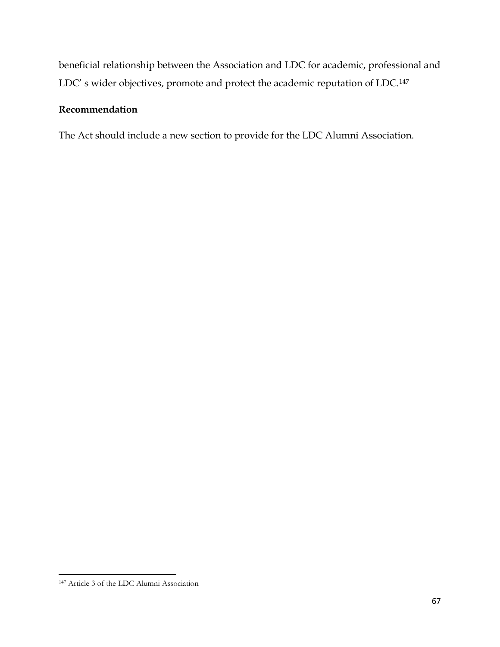beneficial relationship between the Association and LDC for academic, professional and LDC' s wider objectives, promote and protect the academic reputation of LDC.<sup>147</sup>

#### **Recommendation**

The Act should include a new section to provide for the LDC Alumni Association.

 $\overline{a}$ 

<sup>147</sup> Article 3 of the LDC Alumni Association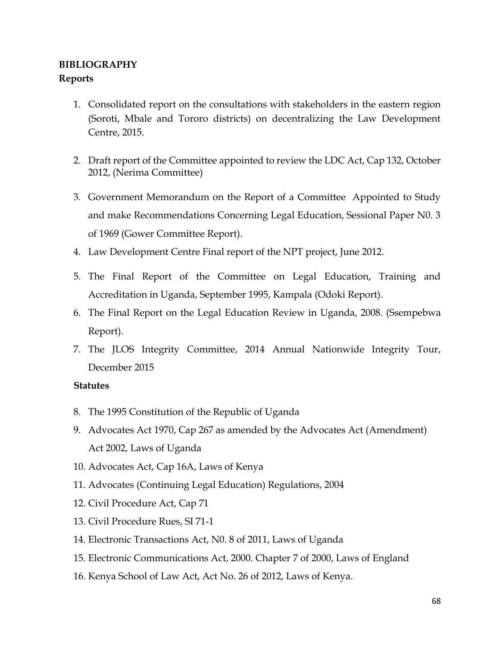# **BIBLIOGRAPHY Reports**

- 1. Consolidated report on the consultations with stakeholders in the eastern region (Soroti, Mbale and Tororo districts) on decentralizing the Law Development Centre, 2015.
- 2. Draft report of the Committee appointed to review the LDC Act, Cap 132, October 2012, (Nerima Committee)
- 3. Government Memorandum on the Report of a Committee Appointed to Study and make Recommendations Concerning Legal Education, Sessional Paper N0. 3 of 1969 (Gower Committee Report).
- 4. Law Development Centre Final report of the NPT project, June 2012.
- 5. The Final Report of the Committee on Legal Education, Training and Accreditation in Uganda, September 1995, Kampala (Odoki Report).
- 6. The Final Report on the Legal Education Review in Uganda, 2008. (Ssempebwa Report).
- 7. The JLOS Integrity Committee, 2014 Annual Nationwide Integrity Tour, December 2015

#### **Statutes**

- 8. The 1995 Constitution of the Republic of Uganda
- 9. Advocates Act 1970, Cap 267 as amended by the Advocates Act (Amendment) Act 2002, Laws of Uganda
- 10. Advocates Act, Cap 16A, Laws of Kenya
- 11. Advocates (Continuing Legal Education) Regulations, 2004
- 12. Civil Procedure Act, Cap 71
- 13. Civil Procedure Rues, SI 71-1
- 14. Electronic Transactions Act, N0. 8 of 2011, Laws of Uganda
- 15. Electronic Communications Act, 2000. Chapter 7 of 2000, Laws of England
- 16. Kenya School of Law Act, Act No. 26 of 2012, Laws of Kenya.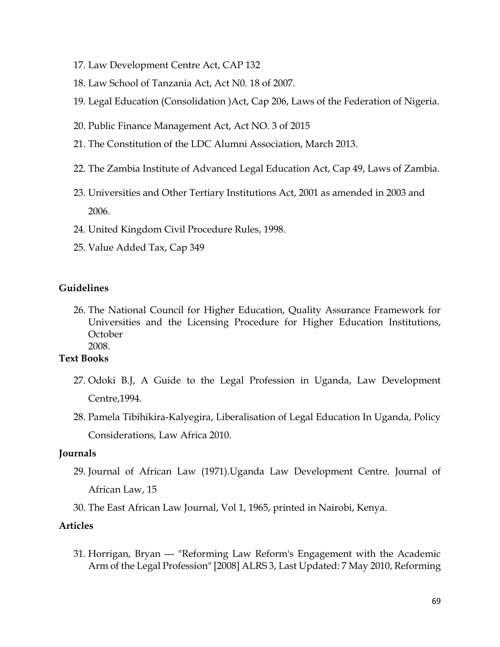- 17. Law Development Centre Act, CAP 132
- 18. Law School of Tanzania Act, Act N0. 18 of 2007.
- 19. Legal Education (Consolidation )Act, Cap 206, Laws of the Federation of Nigeria.
- 20. Public Finance Management Act, Act NO. 3 of 2015
- 21. The Constitution of the LDC Alumni Association, March 2013.
- 22. The Zambia Institute of Advanced Legal Education Act, Cap 49, Laws of Zambia.
- 23. Universities and Other Tertiary Institutions Act, 2001 as amended in 2003 and 2006.
- 24. United Kingdom Civil Procedure Rules, 1998.
- 25. Value Added Tax, Cap 349

#### **Guidelines**

26. The National Council for Higher Education, Quality Assurance Framework for Universities and the Licensing Procedure for Higher Education Institutions, October 2008.

#### **Text Books**

- 27. Odoki B.J, A Guide to the Legal Profession in Uganda, Law Development Centre,1994.
- 28. Pamela Tibihikira-Kalyegira, Liberalisation of Legal Education In Uganda, Policy Considerations, Law Africa 2010.

#### **Journals**

- 29. Journal of African Law (1971).Uganda Law Development Centre. Journal of African Law, 15
- 30. The East African Law Journal, Vol 1, 1965, printed in Nairobi, Kenya.

#### **Articles**

31. Horrigan, Bryan --- "Reforming Law Reform's Engagement with the Academic Arm of the Legal Profession" [2008] ALRS 3, Last Updated: 7 May 2010, Reforming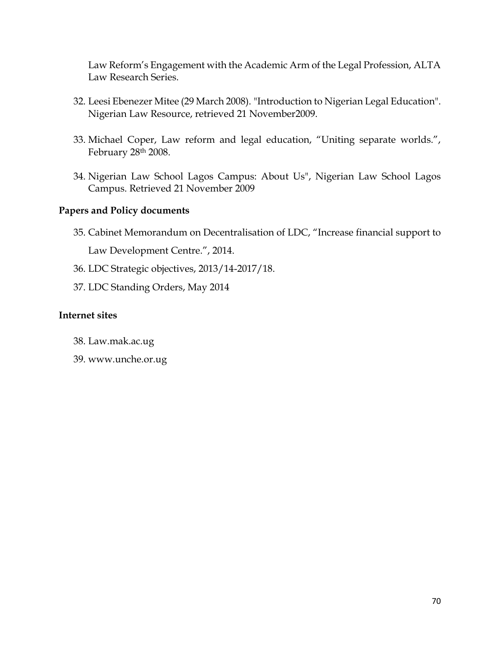Law Reform's Engagement with the Academic Arm of the Legal Profession, ALTA Law Research Series.

- 32. Leesi Ebenezer Mitee (29 March 2008). ["Introduction to Nigerian Legal Education".](http://nigerianlawresources.com/introduction_to_nigerian_legal_education_leesi_ebenezer_mitee.html) Nigerian Law Resource, retrieved 21 November2009.
- 33. Michael Coper, Law reform and legal education, "Uniting separate worlds.", February 28th 2008.
- 34. [Nigerian Law School Lagos Campus: About Us",](http://www.lawschoollagos.org/about) Nigerian Law School Lagos Campus. Retrieved 21 November 2009

#### **Papers and Policy documents**

- 35. Cabinet Memorandum on Decentralisation of LDC, "Increase financial support to Law Development Centre.", 2014.
- 36. LDC Strategic objectives, 2013/14-2017/18.
- 37. LDC Standing Orders, May 2014

#### **Internet sites**

- 38. Law.mak.ac.ug
- 39. www.unche.or.ug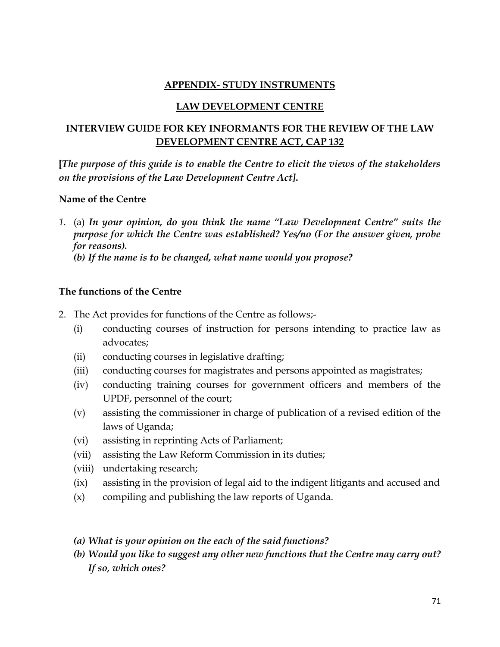# **APPENDIX- STUDY INSTRUMENTS**

#### **LAW DEVELOPMENT CENTRE**

# **INTERVIEW GUIDE FOR KEY INFORMANTS FOR THE REVIEW OF THE LAW DEVELOPMENT CENTRE ACT, CAP 132**

**[***The purpose of this guide is to enable the Centre to elicit the views of the stakeholders on the provisions of the Law Development Centre Act]***.**

#### **Name of the Centre**

*1.* (a) *In your opinion, do you think the name "Law Development Centre" suits the purpose for which the Centre was established? Yes/no (For the answer given, probe for reasons). (b) If the name is to be changed, what name would you propose?*

## **The functions of the Centre**

- 2. The Act provides for functions of the Centre as follows;-
	- (i) conducting courses of instruction for persons intending to practice law as advocates;
	- (ii) conducting courses in legislative drafting;
	- (iii) conducting courses for magistrates and persons appointed as magistrates;
	- (iv) conducting training courses for government officers and members of the UPDF, personnel of the court;
	- (v) assisting the commissioner in charge of publication of a revised edition of the laws of Uganda;
	- (vi) assisting in reprinting Acts of Parliament;
	- (vii) assisting the Law Reform Commission in its duties;
	- (viii) undertaking research;
	- (ix) assisting in the provision of legal aid to the indigent litigants and accused and
	- (x) compiling and publishing the law reports of Uganda.
	- *(a) What is your opinion on the each of the said functions?*
	- *(b) Would you like to suggest any other new functions that the Centre may carry out? If so, which ones?*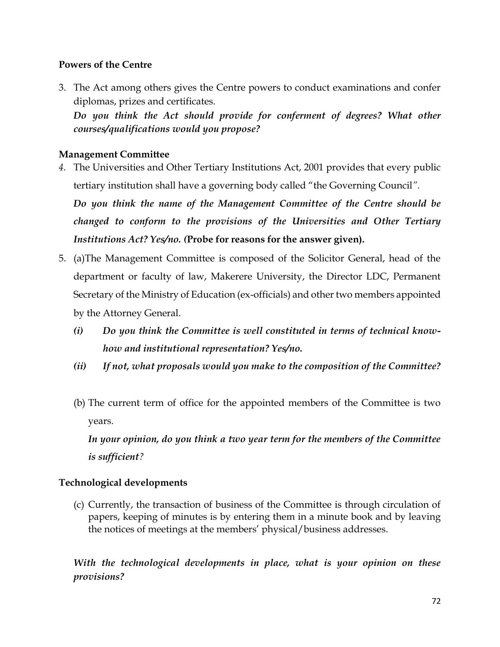## **Powers of the Centre**

3. The Act among others gives the Centre powers to conduct examinations and confer diplomas, prizes and certificates.

Do you think the Act should provide for conferment of degrees? What other *courses/qualifications would you propose?* 

#### **Management Committee**

*4.* The Universities and Other Tertiary Institutions Act, 2001 provides that every public tertiary institution shall have a governing body called "the Governing Council*".* 

*Do you think the name of the Management Committee of the Centre should be changed to conform to the provisions of the Universities and Other Tertiary Institutions Act? Yes/no. (***Probe for reasons for the answer given).**

- 5. (a)The Management Committee is composed of the Solicitor General, head of the department or faculty of law, Makerere University, the Director LDC, Permanent Secretary of the Ministry of Education (ex-officials) and other two members appointed by the Attorney General.
	- *(i) Do you think the Committee is well constituted in terms of technical knowhow and institutional representation? Yes/no.*
	- *(ii) If not, what proposals would you make to the composition of the Committee?*
	- (b) The current term of office for the appointed members of the Committee is two years.

*In your opinion, do you think a two year term for the members of the Committee is sufficient?*

## **Technological developments**

(c) Currently, the transaction of business of the Committee is through circulation of papers, keeping of minutes is by entering them in a minute book and by leaving the notices of meetings at the members' physical/business addresses.

*With the technological developments in place, what is your opinion on these provisions?*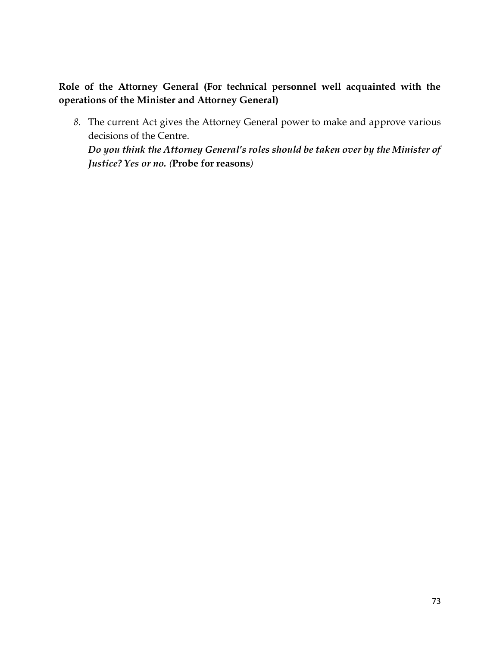**Role of the Attorney General (For technical personnel well acquainted with the operations of the Minister and Attorney General)**

*8.* The current Act gives the Attorney General power to make and approve various decisions of the Centre.

*Do you think the Attorney General's roles should be taken over by the Minister of Justice? Yes or no. (***Probe for reasons***)*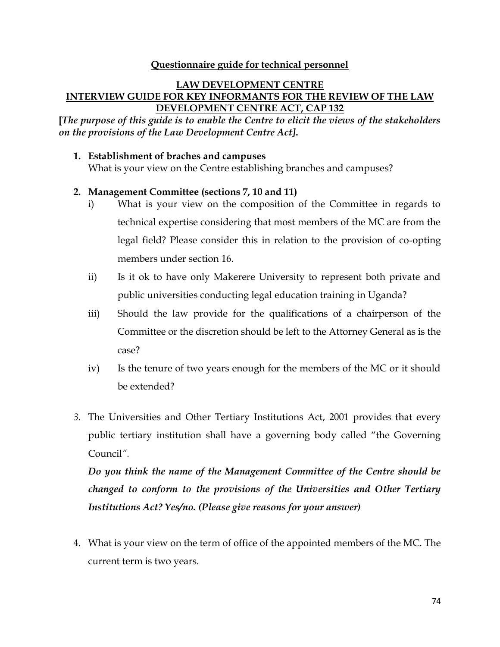#### **Questionnaire guide for technical personnel**

#### **LAW DEVELOPMENT CENTRE INTERVIEW GUIDE FOR KEY INFORMANTS FOR THE REVIEW OF THE LAW DEVELOPMENT CENTRE ACT, CAP 132**

**[***The purpose of this guide is to enable the Centre to elicit the views of the stakeholders on the provisions of the Law Development Centre Act]***.**

**1. Establishment of braches and campuses**

What is your view on the Centre establishing branches and campuses?

#### **2. Management Committee (sections 7, 10 and 11)**

- i) What is your view on the composition of the Committee in regards to technical expertise considering that most members of the MC are from the legal field? Please consider this in relation to the provision of co-opting members under section 16.
- ii) Is it ok to have only Makerere University to represent both private and public universities conducting legal education training in Uganda?
- iii) Should the law provide for the qualifications of a chairperson of the Committee or the discretion should be left to the Attorney General as is the case?
- iv) Is the tenure of two years enough for the members of the MC or it should be extended?
- *3.* The Universities and Other Tertiary Institutions Act, 2001 provides that every public tertiary institution shall have a governing body called "the Governing Council*".*

*Do you think the name of the Management Committee of the Centre should be changed to conform to the provisions of the Universities and Other Tertiary Institutions Act? Yes/no. (Please give reasons for your answer)*

4. What is your view on the term of office of the appointed members of the MC. The current term is two years.